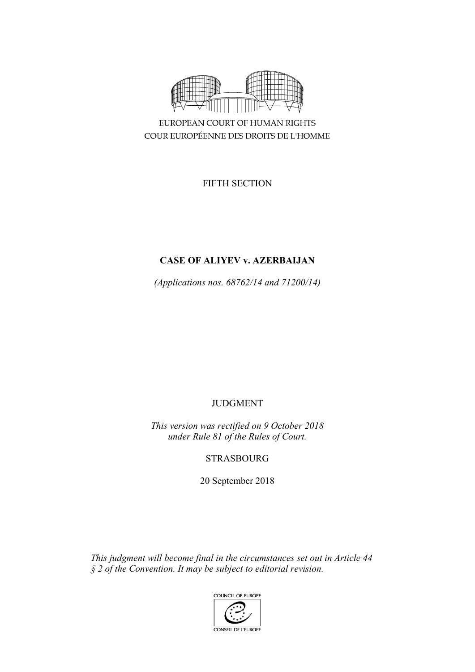

COUR EUROPÉENNE DES DROITS DE L'HOMME

FIFTH SECTION

# **CASE OF ALIYEV v. AZERBAIJAN**

*(Applications nos. 68762/14 and 71200/14)*

JUDGMENT

*This version was rectified on 9 October 2018 under Rule 81 of the Rules of Court.*

STRASBOURG

20 September 2018

*This judgment will become final in the circumstances set out in Article 44 § 2 of the Convention. It may be subject to editorial revision.*

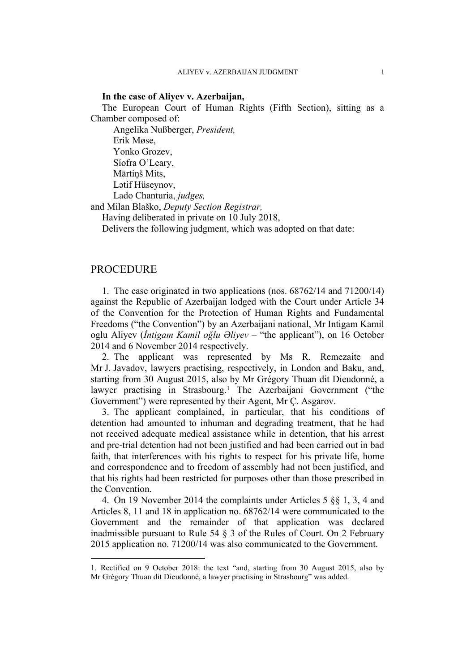#### **In the case of Aliyev v. Azerbaijan,**

The European Court of Human Rights (Fifth Section), sitting as a Chamber composed of:

Angelika Nußberger, *President,* Erik Møse, Yonko Grozev, Síofra O'Leary, Mārtiņš Mits, Lәtif Hüseynov, Lado Chanturia, *judges,*

and Milan Blaško, *Deputy Section Registrar,*

Having deliberated in private on 10 July 2018,

Delivers the following judgment, which was adopted on that date:

## **PROCEDURE**

1. The case originated in two applications (nos. 68762/14 and 71200/14) against the Republic of Azerbaijan lodged with the Court under Article 34 of the Convention for the Protection of Human Rights and Fundamental Freedoms ("the Convention") by an Azerbaijani national, Mr Intigam Kamil oglu Aliyev (*İntigam Kamil oğlu Əliyev* – "the applicant"), on 16 October 2014 and 6 November 2014 respectively.

2. The applicant was represented by Ms R. Remezaite and Mr J. Javadov, lawyers practising, respectively, in London and Baku, and, starting from 30 August 2015, also by Mr Grégory Thuan dit Dieudonné, a lawyer practising in Strasbourg.<sup>1</sup> The Azerbaijani Government ("the Government") were represented by their Agent, Mr Ç. Asgarov.

3. The applicant complained, in particular, that his conditions of detention had amounted to inhuman and degrading treatment, that he had not received adequate medical assistance while in detention, that his arrest and pre-trial detention had not been justified and had been carried out in bad faith, that interferences with his rights to respect for his private life, home and correspondence and to freedom of assembly had not been justified, and that his rights had been restricted for purposes other than those prescribed in the Convention.

4. On 19 November 2014 the complaints under Articles 5 §§ 1, 3, 4 and Articles 8, 11 and 18 in application no. 68762/14 were communicated to the Government and the remainder of that application was declared inadmissible pursuant to Rule 54 § 3 of the Rules of Court. On 2 February 2015 application no. 71200/14 was also communicated to the Government.

<sup>1.</sup> Rectified on 9 October 2018: the text "and, starting from 30 August 2015, also by Mr Grégory Thuan dit Dieudonné, a lawyer practising in Strasbourg" was added.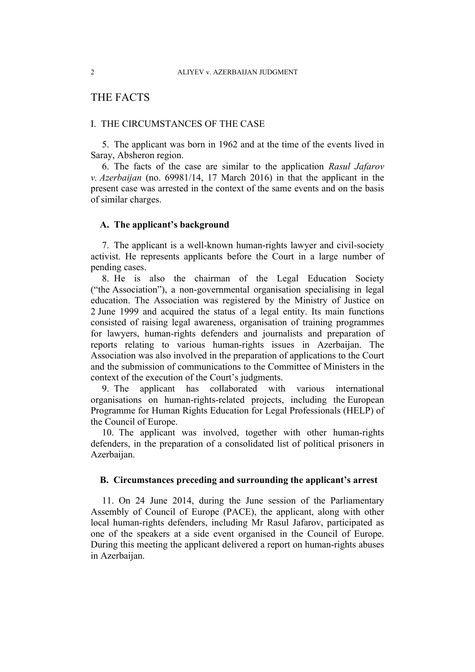# THE FACTS

### I. THE CIRCUMSTANCES OF THE CASE

5. The applicant was born in 1962 and at the time of the events lived in Saray, Absheron region.

6. The facts of the case are similar to the application *Rasul Jafarov v. Azerbaijan* (no. 69981/14, 17 March 2016) in that the applicant in the present case was arrested in the context of the same events and on the basis of similar charges.

### **A. The applicant's background**

7. The applicant is a well-known human-rights lawyer and civil-society activist. He represents applicants before the Court in a large number of pending cases.

8. He is also the chairman of the Legal Education Society ("the Association"), a non-governmental organisation specialising in legal education. The Association was registered by the Ministry of Justice on 2 June 1999 and acquired the status of a legal entity. Its main functions consisted of raising legal awareness, organisation of training programmes for lawyers, human-rights defenders and journalists and preparation of reports relating to various human-rights issues in Azerbaijan. The Association was also involved in the preparation of applications to the Court and the submission of communications to the Committee of Ministers in the context of the execution of the Court's judgments.

9. The applicant has collaborated with various international organisations on human-rights-related projects, including the European Programme for Human Rights Education for Legal Professionals (HELP) of the Council of Europe.

10. The applicant was involved, together with other human-rights defenders, in the preparation of a consolidated list of political prisoners in Azerbaijan.

### **B. Circumstances preceding and surrounding the applicant's arrest**

11. On 24 June 2014, during the June session of the Parliamentary Assembly of Council of Europe (PACE), the applicant, along with other local human-rights defenders, including Mr Rasul Jafarov, participated as one of the speakers at a side event organised in the Council of Europe. During this meeting the applicant delivered a report on human-rights abuses in Azerbaijan.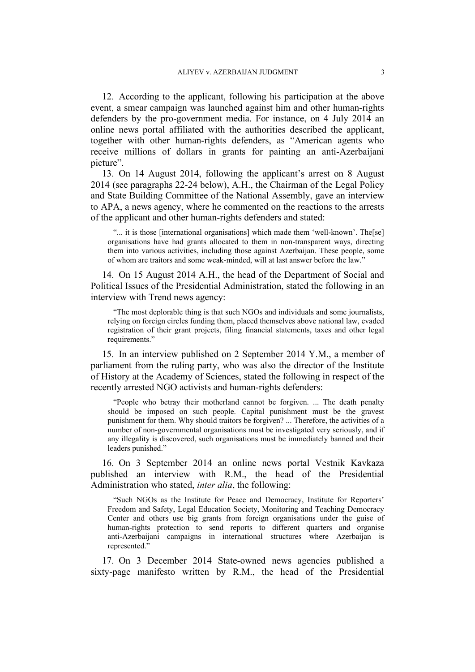12. According to the applicant, following his participation at the above event, a smear campaign was launched against him and other human-rights defenders by the pro-government media. For instance, on 4 July 2014 an online news portal affiliated with the authorities described the applicant, together with other human-rights defenders, as "American agents who receive millions of dollars in grants for painting an anti-Azerbaijani picture".

13. On 14 August 2014, following the applicant's arrest on 8 August 2014 (see paragraphs 22-24 below), A.H., the Chairman of the Legal Policy and State Building Committee of the National Assembly, gave an interview to APA, a news agency, where he commented on the reactions to the arrests of the applicant and other human-rights defenders and stated:

"... it is those [international organisations] which made them 'well-known'. The[se] organisations have had grants allocated to them in non-transparent ways, directing them into various activities, including those against Azerbaijan. These people, some of whom are traitors and some weak-minded, will at last answer before the law."

14. On 15 August 2014 A.H., the head of the Department of Social and Political Issues of the Presidential Administration, stated the following in an interview with Trend news agency:

"The most deplorable thing is that such NGOs and individuals and some journalists, relying on foreign circles funding them, placed themselves above national law, evaded registration of their grant projects, filing financial statements, taxes and other legal requirements."

15. In an interview published on 2 September 2014 Y.M., a member of parliament from the ruling party, who was also the director of the Institute of History at the Academy of Sciences, stated the following in respect of the recently arrested NGO activists and human-rights defenders:

"People who betray their motherland cannot be forgiven. ... The death penalty should be imposed on such people. Capital punishment must be the gravest punishment for them. Why should traitors be forgiven? ... Therefore, the activities of a number of non-governmental organisations must be investigated very seriously, and if any illegality is discovered, such organisations must be immediately banned and their leaders punished."

16. On 3 September 2014 an online news portal Vestnik Kavkaza published an interview with R.M., the head of the Presidential Administration who stated, *inter alia*, the following:

"Such NGOs as the Institute for Peace and Democracy, Institute for Reporters' Freedom and Safety, Legal Education Society, Monitoring and Teaching Democracy Center and others use big grants from foreign organisations under the guise of human-rights protection to send reports to different quarters and organise anti-Azerbaijani campaigns in international structures where Azerbaijan is represented."

17. On 3 December 2014 State-owned news agencies published a sixty-page manifesto written by R.M., the head of the Presidential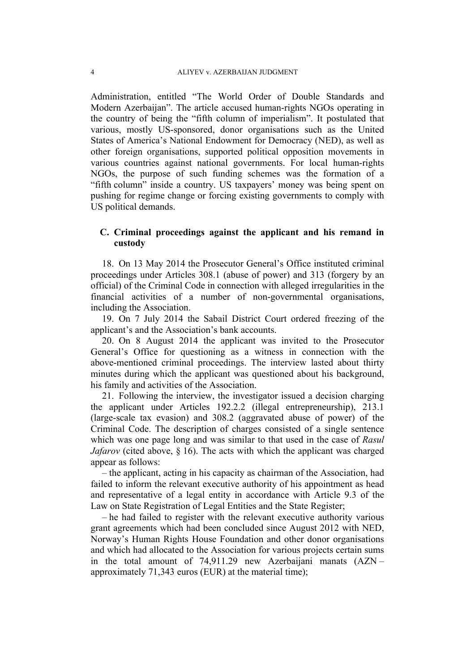Administration, entitled "The World Order of Double Standards and Modern Azerbaijan". The article accused human-rights NGOs operating in the country of being the "fifth column of imperialism". It postulated that various, mostly US-sponsored, donor organisations such as the United States of America's National Endowment for Democracy (NED), as well as other foreign organisations, supported political opposition movements in various countries against national governments. For local human-rights NGOs, the purpose of such funding schemes was the formation of a "fifth column" inside a country. US taxpayers' money was being spent on pushing for regime change or forcing existing governments to comply with US political demands.

## **C. Criminal proceedings against the applicant and his remand in custody**

18. On 13 May 2014 the Prosecutor General's Office instituted criminal proceedings under Articles 308.1 (abuse of power) and 313 (forgery by an official) of the Criminal Code in connection with alleged irregularities in the financial activities of a number of non-governmental organisations, including the Association.

19. On 7 July 2014 the Sabail District Court ordered freezing of the applicant's and the Association's bank accounts.

20. On 8 August 2014 the applicant was invited to the Prosecutor General's Office for questioning as a witness in connection with the above-mentioned criminal proceedings. The interview lasted about thirty minutes during which the applicant was questioned about his background, his family and activities of the Association.

21. Following the interview, the investigator issued a decision charging the applicant under Articles 192.2.2 (illegal entrepreneurship), 213.1 (large-scale tax evasion) and 308.2 (aggravated abuse of power) of the Criminal Code. The description of charges consisted of a single sentence which was one page long and was similar to that used in the case of *Rasul Jafarov* (cited above, § 16). The acts with which the applicant was charged appear as follows:

– the applicant, acting in his capacity as chairman of the Association, had failed to inform the relevant executive authority of his appointment as head and representative of a legal entity in accordance with Article 9.3 of the Law on State Registration of Legal Entities and the State Register;

– he had failed to register with the relevant executive authority various grant agreements which had been concluded since August 2012 with NED, Norway's Human Rights House Foundation and other donor organisations and which had allocated to the Association for various projects certain sums in the total amount of 74,911.29 new Azerbaijani manats (AZN – approximately 71,343 euros (EUR) at the material time);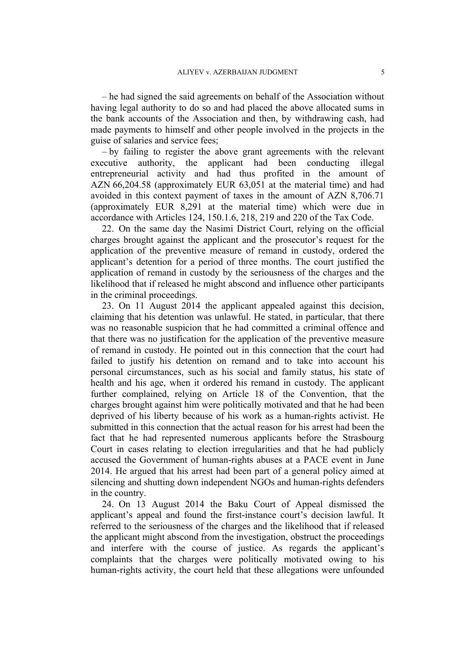– he had signed the said agreements on behalf of the Association without having legal authority to do so and had placed the above allocated sums in the bank accounts of the Association and then, by withdrawing cash, had made payments to himself and other people involved in the projects in the guise of salaries and service fees;

– by failing to register the above grant agreements with the relevant executive authority, the applicant had been conducting illegal entrepreneurial activity and had thus profited in the amount of AZN 66,204.58 (approximately EUR 63,051 at the material time) and had avoided in this context payment of taxes in the amount of AZN 8,706.71 (approximately EUR 8,291 at the material time) which were due in accordance with Articles 124, 150.1.6, 218, 219 and 220 of the Tax Code.

22. On the same day the Nasimi District Court, relying on the official charges brought against the applicant and the prosecutor's request for the application of the preventive measure of remand in custody, ordered the applicant's detention for a period of three months. The court justified the application of remand in custody by the seriousness of the charges and the likelihood that if released he might abscond and influence other participants in the criminal proceedings.

23. On 11 August 2014 the applicant appealed against this decision, claiming that his detention was unlawful. He stated, in particular, that there was no reasonable suspicion that he had committed a criminal offence and that there was no justification for the application of the preventive measure of remand in custody. He pointed out in this connection that the court had failed to justify his detention on remand and to take into account his personal circumstances, such as his social and family status, his state of health and his age, when it ordered his remand in custody. The applicant further complained, relying on Article 18 of the Convention, that the charges brought against him were politically motivated and that he had been deprived of his liberty because of his work as a human-rights activist. He submitted in this connection that the actual reason for his arrest had been the fact that he had represented numerous applicants before the Strasbourg Court in cases relating to election irregularities and that he had publicly accused the Government of human-rights abuses at a PACE event in June 2014. He argued that his arrest had been part of a general policy aimed at silencing and shutting down independent NGOs and human-rights defenders in the country.

24. On 13 August 2014 the Baku Court of Appeal dismissed the applicant's appeal and found the first-instance court's decision lawful. It referred to the seriousness of the charges and the likelihood that if released the applicant might abscond from the investigation, obstruct the proceedings and interfere with the course of justice. As regards the applicant's complaints that the charges were politically motivated owing to his human-rights activity, the court held that these allegations were unfounded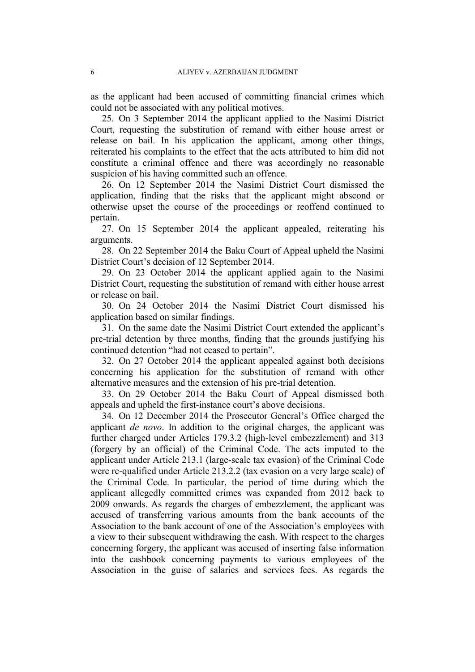as the applicant had been accused of committing financial crimes which could not be associated with any political motives.

25. On 3 September 2014 the applicant applied to the Nasimi District Court, requesting the substitution of remand with either house arrest or release on bail. In his application the applicant, among other things, reiterated his complaints to the effect that the acts attributed to him did not constitute a criminal offence and there was accordingly no reasonable suspicion of his having committed such an offence.

26. On 12 September 2014 the Nasimi District Court dismissed the application, finding that the risks that the applicant might abscond or otherwise upset the course of the proceedings or reoffend continued to pertain.

27. On 15 September 2014 the applicant appealed, reiterating his arguments.

28. On 22 September 2014 the Baku Court of Appeal upheld the Nasimi District Court's decision of 12 September 2014.

29. On 23 October 2014 the applicant applied again to the Nasimi District Court, requesting the substitution of remand with either house arrest or release on bail.

30. On 24 October 2014 the Nasimi District Court dismissed his application based on similar findings.

31. On the same date the Nasimi District Court extended the applicant's pre-trial detention by three months, finding that the grounds justifying his continued detention "had not ceased to pertain".

32. On 27 October 2014 the applicant appealed against both decisions concerning his application for the substitution of remand with other alternative measures and the extension of his pre-trial detention.

33. On 29 October 2014 the Baku Court of Appeal dismissed both appeals and upheld the first-instance court's above decisions.

34. On 12 December 2014 the Prosecutor General's Office charged the applicant *de novo*. In addition to the original charges, the applicant was further charged under Articles 179.3.2 (high-level embezzlement) and 313 (forgery by an official) of the Criminal Code. The acts imputed to the applicant under Article 213.1 (large-scale tax evasion) of the Criminal Code were re-qualified under Article 213.2.2 (tax evasion on a very large scale) of the Criminal Code. In particular, the period of time during which the applicant allegedly committed crimes was expanded from 2012 back to 2009 onwards. As regards the charges of embezzlement, the applicant was accused of transferring various amounts from the bank accounts of the Association to the bank account of one of the Association's employees with a view to their subsequent withdrawing the cash. With respect to the charges concerning forgery, the applicant was accused of inserting false information into the cashbook concerning payments to various employees of the Association in the guise of salaries and services fees. As regards the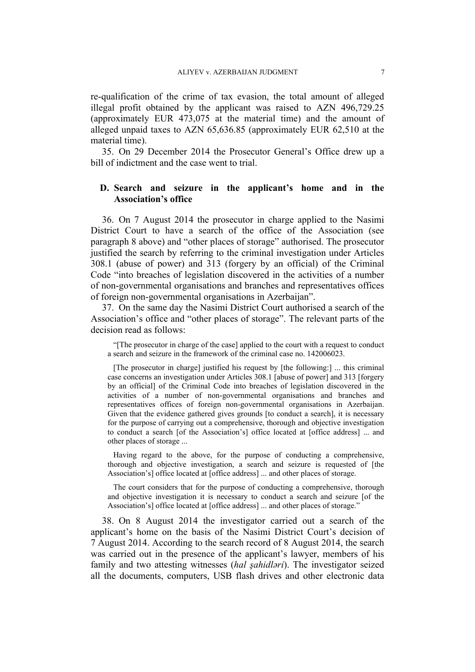re-qualification of the crime of tax evasion, the total amount of alleged illegal profit obtained by the applicant was raised to AZN 496,729.25 (approximately EUR 473,075 at the material time) and the amount of alleged unpaid taxes to AZN 65,636.85 (approximately EUR 62,510 at the material time).

35. On 29 December 2014 the Prosecutor General's Office drew up a bill of indictment and the case went to trial.

## **D. Search and seizure in the applicant's home and in the Association's office**

36. On 7 August 2014 the prosecutor in charge applied to the Nasimi District Court to have a search of the office of the Association (see paragraph 8 above) and "other places of storage" authorised. The prosecutor justified the search by referring to the criminal investigation under Articles 308.1 (abuse of power) and 313 (forgery by an official) of the Criminal Code "into breaches of legislation discovered in the activities of a number of non-governmental organisations and branches and representatives offices of foreign non-governmental organisations in Azerbaijan".

37. On the same day the Nasimi District Court authorised a search of the Association's office and "other places of storage". The relevant parts of the decision read as follows:

"[The prosecutor in charge of the case] applied to the court with a request to conduct a search and seizure in the framework of the criminal case no. 142006023.

[The prosecutor in charge] justified his request by [the following:] ... this criminal case concerns an investigation under Articles 308.1 [abuse of power] and 313 [forgery by an official] of the Criminal Code into breaches of legislation discovered in the activities of a number of non-governmental organisations and branches and representatives offices of foreign non-governmental organisations in Azerbaijan. Given that the evidence gathered gives grounds [to conduct a search], it is necessary for the purpose of carrying out a comprehensive, thorough and objective investigation to conduct a search [of the Association's] office located at [office address] ... and other places of storage ...

Having regard to the above, for the purpose of conducting a comprehensive, thorough and objective investigation, a search and seizure is requested of [the Association's] office located at [office address] ... and other places of storage.

The court considers that for the purpose of conducting a comprehensive, thorough and objective investigation it is necessary to conduct a search and seizure [of the Association's] office located at [office address] ... and other places of storage."

38. On 8 August 2014 the investigator carried out a search of the applicant's home on the basis of the Nasimi District Court's decision of 7 August 2014. According to the search record of 8 August 2014, the search was carried out in the presence of the applicant's lawyer, members of his family and two attesting witnesses (*hal şahidləri*). The investigator seized all the documents, computers, USB flash drives and other electronic data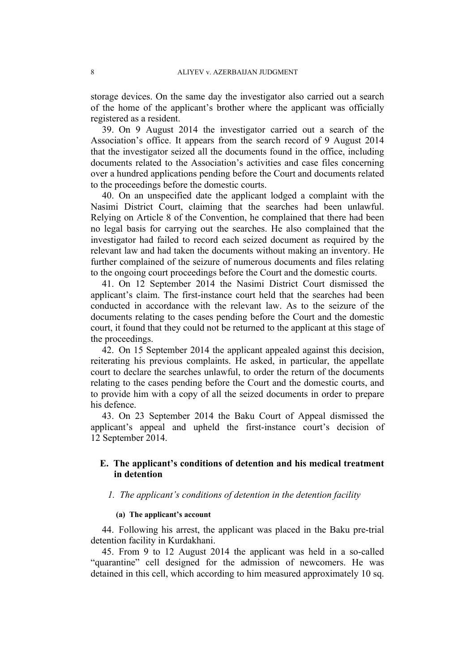storage devices. On the same day the investigator also carried out a search of the home of the applicant's brother where the applicant was officially registered as a resident.

39. On 9 August 2014 the investigator carried out a search of the Association's office. It appears from the search record of 9 August 2014 that the investigator seized all the documents found in the office, including documents related to the Association's activities and case files concerning over a hundred applications pending before the Court and documents related to the proceedings before the domestic courts.

40. On an unspecified date the applicant lodged a complaint with the Nasimi District Court, claiming that the searches had been unlawful. Relying on Article 8 of the Convention, he complained that there had been no legal basis for carrying out the searches. He also complained that the investigator had failed to record each seized document as required by the relevant law and had taken the documents without making an inventory. He further complained of the seizure of numerous documents and files relating to the ongoing court proceedings before the Court and the domestic courts.

41. On 12 September 2014 the Nasimi District Court dismissed the applicant's claim. The first-instance court held that the searches had been conducted in accordance with the relevant law. As to the seizure of the documents relating to the cases pending before the Court and the domestic court, it found that they could not be returned to the applicant at this stage of the proceedings.

42. On 15 September 2014 the applicant appealed against this decision, reiterating his previous complaints. He asked, in particular, the appellate court to declare the searches unlawful, to order the return of the documents relating to the cases pending before the Court and the domestic courts, and to provide him with a copy of all the seized documents in order to prepare his defence.

43. On 23 September 2014 the Baku Court of Appeal dismissed the applicant's appeal and upheld the first-instance court's decision of 12 September 2014.

## **E. The applicant's conditions of detention and his medical treatment in detention**

#### *1. The applicant's conditions of detention in the detention facility*

### **(a) The applicant's account**

44. Following his arrest, the applicant was placed in the Baku pre-trial detention facility in Kurdakhani.

45. From 9 to 12 August 2014 the applicant was held in a so-called "quarantine" cell designed for the admission of newcomers. He was detained in this cell, which according to him measured approximately 10 sq.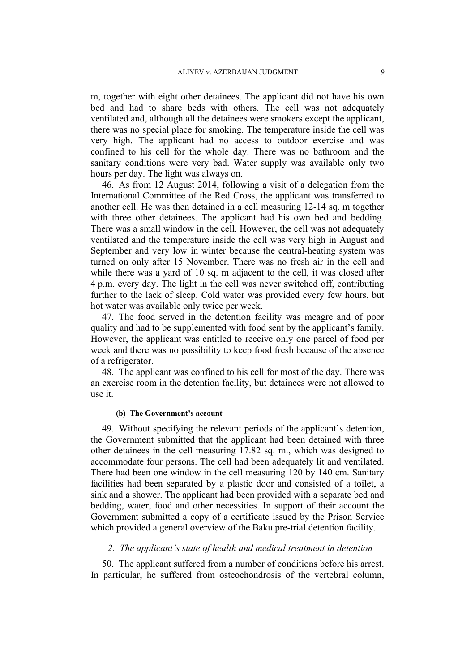m, together with eight other detainees. The applicant did not have his own bed and had to share beds with others. The cell was not adequately ventilated and, although all the detainees were smokers except the applicant, there was no special place for smoking. The temperature inside the cell was very high. The applicant had no access to outdoor exercise and was confined to his cell for the whole day. There was no bathroom and the sanitary conditions were very bad. Water supply was available only two hours per day. The light was always on.

46. As from 12 August 2014, following a visit of a delegation from the International Committee of the Red Cross, the applicant was transferred to another cell. He was then detained in a cell measuring 12-14 sq. m together with three other detainees. The applicant had his own bed and bedding. There was a small window in the cell. However, the cell was not adequately ventilated and the temperature inside the cell was very high in August and September and very low in winter because the central-heating system was turned on only after 15 November. There was no fresh air in the cell and while there was a yard of 10 sq. m adjacent to the cell, it was closed after 4 p.m. every day. The light in the cell was never switched off, contributing further to the lack of sleep. Cold water was provided every few hours, but hot water was available only twice per week.

47. The food served in the detention facility was meagre and of poor quality and had to be supplemented with food sent by the applicant's family. However, the applicant was entitled to receive only one parcel of food per week and there was no possibility to keep food fresh because of the absence of a refrigerator.

48. The applicant was confined to his cell for most of the day. There was an exercise room in the detention facility, but detainees were not allowed to use it.

#### **(b) The Government's account**

49. Without specifying the relevant periods of the applicant's detention, the Government submitted that the applicant had been detained with three other detainees in the cell measuring 17.82 sq. m., which was designed to accommodate four persons. The cell had been adequately lit and ventilated. There had been one window in the cell measuring 120 by 140 cm. Sanitary facilities had been separated by a plastic door and consisted of a toilet, a sink and a shower. The applicant had been provided with a separate bed and bedding, water, food and other necessities. In support of their account the Government submitted a copy of a certificate issued by the Prison Service which provided a general overview of the Baku pre-trial detention facility.

### *2. The applicant's state of health and medical treatment in detention*

50. The applicant suffered from a number of conditions before his arrest. In particular, he suffered from osteochondrosis of the vertebral column,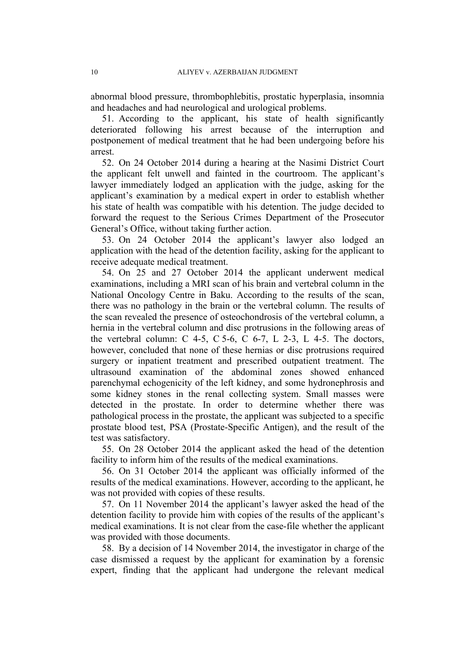abnormal blood pressure, thrombophlebitis, prostatic hyperplasia, insomnia and headaches and had neurological and urological problems.

51. According to the applicant, his state of health significantly deteriorated following his arrest because of the interruption and postponement of medical treatment that he had been undergoing before his arrest.

52. On 24 October 2014 during a hearing at the Nasimi District Court the applicant felt unwell and fainted in the courtroom. The applicant's lawyer immediately lodged an application with the judge, asking for the applicant's examination by a medical expert in order to establish whether his state of health was compatible with his detention. The judge decided to forward the request to the Serious Crimes Department of the Prosecutor General's Office, without taking further action.

53. On 24 October 2014 the applicant's lawyer also lodged an application with the head of the detention facility, asking for the applicant to receive adequate medical treatment.

54. On 25 and 27 October 2014 the applicant underwent medical examinations, including a MRI scan of his brain and vertebral column in the National Oncology Centre in Baku. According to the results of the scan, there was no pathology in the brain or the vertebral column. The results of the scan revealed the presence of osteochondrosis of the vertebral column, a hernia in the vertebral column and disc protrusions in the following areas of the vertebral column:  $C$  4-5,  $C$  5-6,  $C$  6-7,  $L$  2-3,  $L$  4-5. The doctors, however, concluded that none of these hernias or disc protrusions required surgery or inpatient treatment and prescribed outpatient treatment. The ultrasound examination of the abdominal zones showed enhanced parenchymal echogenicity of the left kidney, and some hydronephrosis and some kidney stones in the renal collecting system. Small masses were detected in the prostate. In order to determine whether there was pathological process in the prostate, the applicant was subjected to a specific prostate blood test, PSA (Prostate-Specific Antigen), and the result of the test was satisfactory.

55. On 28 October 2014 the applicant asked the head of the detention facility to inform him of the results of the medical examinations.

56. On 31 October 2014 the applicant was officially informed of the results of the medical examinations. However, according to the applicant, he was not provided with copies of these results.

57. On 11 November 2014 the applicant's lawyer asked the head of the detention facility to provide him with copies of the results of the applicant's medical examinations. It is not clear from the case-file whether the applicant was provided with those documents.

58. By a decision of 14 November 2014, the investigator in charge of the case dismissed a request by the applicant for examination by a forensic expert, finding that the applicant had undergone the relevant medical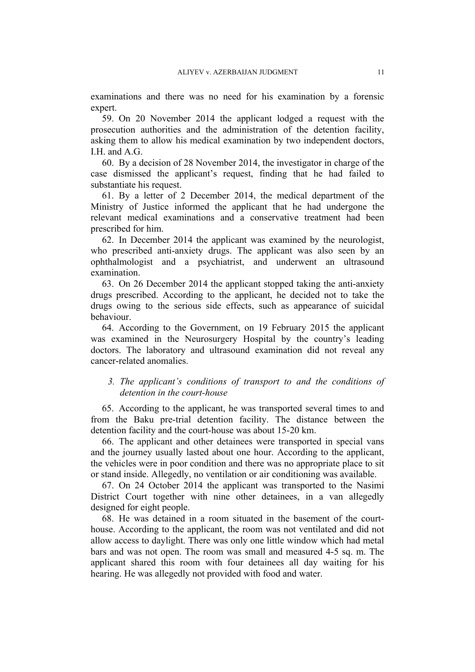examinations and there was no need for his examination by a forensic expert.

59. On 20 November 2014 the applicant lodged a request with the prosecution authorities and the administration of the detention facility, asking them to allow his medical examination by two independent doctors, I.H. and A.G.

60. By a decision of 28 November 2014, the investigator in charge of the case dismissed the applicant's request, finding that he had failed to substantiate his request.

61. By a letter of 2 December 2014, the medical department of the Ministry of Justice informed the applicant that he had undergone the relevant medical examinations and a conservative treatment had been prescribed for him.

62. In December 2014 the applicant was examined by the neurologist, who prescribed anti-anxiety drugs. The applicant was also seen by an ophthalmologist and a psychiatrist, and underwent an ultrasound examination.

63. On 26 December 2014 the applicant stopped taking the anti-anxiety drugs prescribed. According to the applicant, he decided not to take the drugs owing to the serious side effects, such as appearance of suicidal behaviour.

64. According to the Government, on 19 February 2015 the applicant was examined in the Neurosurgery Hospital by the country's leading doctors. The laboratory and ultrasound examination did not reveal any cancer-related anomalies.

## *3. The applicant's conditions of transport to and the conditions of detention in the court-house*

65. According to the applicant, he was transported several times to and from the Baku pre-trial detention facility. The distance between the detention facility and the court-house was about 15-20 km.

66. The applicant and other detainees were transported in special vans and the journey usually lasted about one hour. According to the applicant, the vehicles were in poor condition and there was no appropriate place to sit or stand inside. Allegedly, no ventilation or air conditioning was available.

67. On 24 October 2014 the applicant was transported to the Nasimi District Court together with nine other detainees, in a van allegedly designed for eight people.

68. He was detained in a room situated in the basement of the courthouse. According to the applicant, the room was not ventilated and did not allow access to daylight. There was only one little window which had metal bars and was not open. The room was small and measured 4-5 sq. m. The applicant shared this room with four detainees all day waiting for his hearing. He was allegedly not provided with food and water.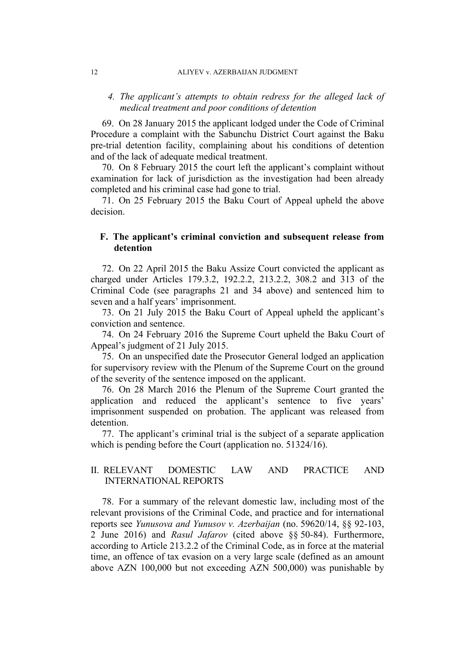#### 12 ALIYEV v. AZERBAIJAN JUDGMENT

## *4. The applicant's attempts to obtain redress for the alleged lack of medical treatment and poor conditions of detention*

69. On 28 January 2015 the applicant lodged under the Code of Criminal Procedure a complaint with the Sabunchu District Court against the Baku pre-trial detention facility, complaining about his conditions of detention and of the lack of adequate medical treatment.

70. On 8 February 2015 the court left the applicant's complaint without examination for lack of jurisdiction as the investigation had been already completed and his criminal case had gone to trial.

71. On 25 February 2015 the Baku Court of Appeal upheld the above decision.

## **F. The applicant's criminal conviction and subsequent release from detention**

72. On 22 April 2015 the Baku Assize Court convicted the applicant as charged under Articles 179.3.2, 192.2.2, 213.2.2, 308.2 and 313 of the Criminal Code (see paragraphs 21 and 34 above) and sentenced him to seven and a half years' imprisonment.

73. On 21 July 2015 the Baku Court of Appeal upheld the applicant's conviction and sentence.

74. On 24 February 2016 the Supreme Court upheld the Baku Court of Appeal's judgment of 21 July 2015.

75. On an unspecified date the Prosecutor General lodged an application for supervisory review with the Plenum of the Supreme Court on the ground of the severity of the sentence imposed on the applicant.

76. On 28 March 2016 the Plenum of the Supreme Court granted the application and reduced the applicant's sentence to five years' imprisonment suspended on probation. The applicant was released from detention.

77. The applicant's criminal trial is the subject of a separate application which is pending before the Court (application no. 51324/16).

## II. RELEVANT DOMESTIC LAW AND PRACTICE AND INTERNATIONAL REPORTS

78. For a summary of the relevant domestic law, including most of the relevant provisions of the Criminal Code, and practice and for international reports see *Yunusova and Yunusov v. Azerbaijan* (no. 59620/14, §§ 92-103, 2 June 2016) and *Rasul Jafarov* (cited above §§ 50-84). Furthermore, according to Article 213.2.2 of the Criminal Code, as in force at the material time, an offence of tax evasion on a very large scale (defined as an amount above AZN 100,000 but not exceeding AZN 500,000) was punishable by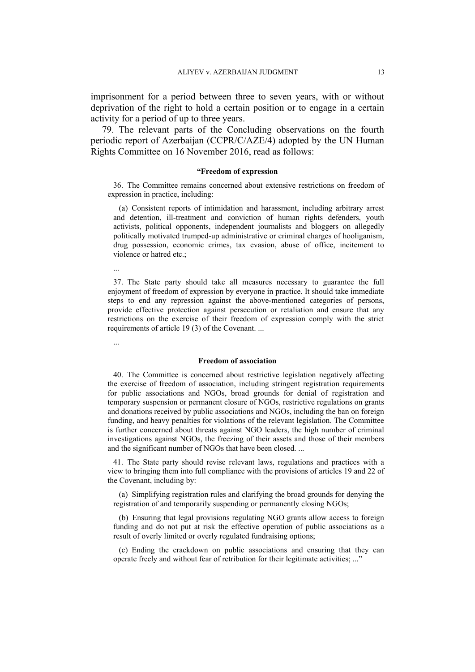imprisonment for a period between three to seven years, with or without deprivation of the right to hold a certain position or to engage in a certain activity for a period of up to three years.

79. The relevant parts of the Concluding observations on the fourth periodic report of Azerbaijan (CCPR/C/AZE/4) adopted by the UN Human Rights Committee on 16 November 2016, read as follows:

#### **"Freedom of expression**

36. The Committee remains concerned about extensive restrictions on freedom of expression in practice, including:

(a) Consistent reports of intimidation and harassment, including arbitrary arrest and detention, ill-treatment and conviction of human rights defenders, youth activists, political opponents, independent journalists and bloggers on allegedly politically motivated trumped-up administrative or criminal charges of hooliganism, drug possession, economic crimes, tax evasion, abuse of office, incitement to violence or hatred etc.;

...

37. The State party should take all measures necessary to guarantee the full enjoyment of freedom of expression by everyone in practice. It should take immediate steps to end any repression against the above-mentioned categories of persons, provide effective protection against persecution or retaliation and ensure that any restrictions on the exercise of their freedom of expression comply with the strict requirements of article 19 (3) of the Covenant. ...

...

#### **Freedom of association**

40. The Committee is concerned about restrictive legislation negatively affecting the exercise of freedom of association, including stringent registration requirements for public associations and NGOs, broad grounds for denial of registration and temporary suspension or permanent closure of NGOs, restrictive regulations on grants and donations received by public associations and NGOs, including the ban on foreign funding, and heavy penalties for violations of the relevant legislation. The Committee is further concerned about threats against NGO leaders, the high number of criminal investigations against NGOs, the freezing of their assets and those of their members and the significant number of NGOs that have been closed. ...

41. The State party should revise relevant laws, regulations and practices with a view to bringing them into full compliance with the provisions of articles 19 and 22 of the Covenant, including by:

(a) Simplifying registration rules and clarifying the broad grounds for denying the registration of and temporarily suspending or permanently closing NGOs;

(b) Ensuring that legal provisions regulating NGO grants allow access to foreign funding and do not put at risk the effective operation of public associations as a result of overly limited or overly regulated fundraising options;

(c) Ending the crackdown on public associations and ensuring that they can operate freely and without fear of retribution for their legitimate activities; ..."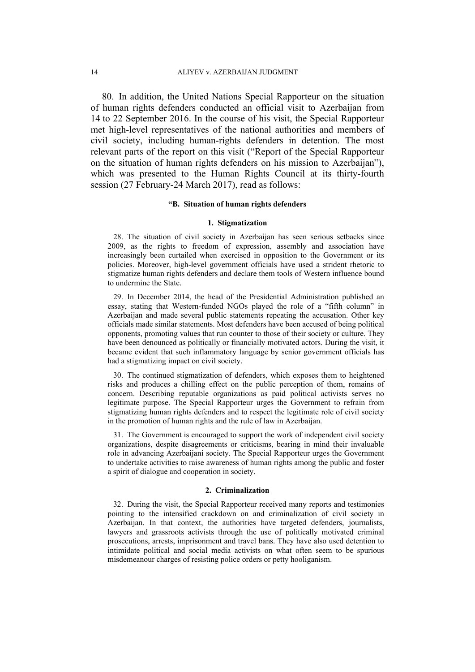80. In addition, the United Nations Special Rapporteur on the situation of human rights defenders conducted an official visit to Azerbaijan from 14 to 22 September 2016. In the course of his visit, the Special Rapporteur met high-level representatives of the national authorities and members of civil society, including human-rights defenders in detention. The most relevant parts of the report on this visit ("Report of the Special Rapporteur on the situation of human rights defenders on his mission to Azerbaijan"), which was presented to the Human Rights Council at its thirty-fourth session (27 February-24 March 2017), read as follows:

#### **"B. Situation of human rights defenders**

#### **1. Stigmatization**

28. The situation of civil society in Azerbaijan has seen serious setbacks since 2009, as the rights to freedom of expression, assembly and association have increasingly been curtailed when exercised in opposition to the Government or its policies. Moreover, high-level government officials have used a strident rhetoric to stigmatize human rights defenders and declare them tools of Western influence bound to undermine the State.

29. In December 2014, the head of the Presidential Administration published an essay, stating that Western-funded NGOs played the role of a "fifth column" in Azerbaijan and made several public statements repeating the accusation. Other key officials made similar statements. Most defenders have been accused of being political opponents, promoting values that run counter to those of their society or culture. They have been denounced as politically or financially motivated actors. During the visit, it became evident that such inflammatory language by senior government officials has had a stigmatizing impact on civil society.

30. The continued stigmatization of defenders, which exposes them to heightened risks and produces a chilling effect on the public perception of them, remains of concern. Describing reputable organizations as paid political activists serves no legitimate purpose. The Special Rapporteur urges the Government to refrain from stigmatizing human rights defenders and to respect the legitimate role of civil society in the promotion of human rights and the rule of law in Azerbaijan.

31. The Government is encouraged to support the work of independent civil society organizations, despite disagreements or criticisms, bearing in mind their invaluable role in advancing Azerbaijani society. The Special Rapporteur urges the Government to undertake activities to raise awareness of human rights among the public and foster a spirit of dialogue and cooperation in society.

#### **2. Criminalization**

32. During the visit, the Special Rapporteur received many reports and testimonies pointing to the intensified crackdown on and criminalization of civil society in Azerbaijan. In that context, the authorities have targeted defenders, journalists, lawyers and grassroots activists through the use of politically motivated criminal prosecutions, arrests, imprisonment and travel bans. They have also used detention to intimidate political and social media activists on what often seem to be spurious misdemeanour charges of resisting police orders or petty hooliganism.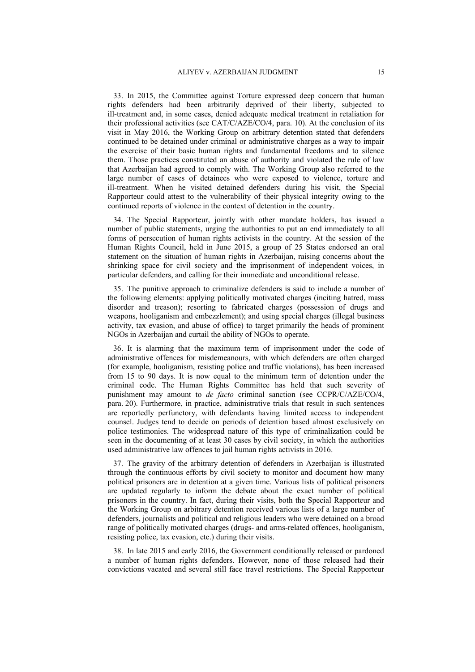33. In 2015, the Committee against Torture expressed deep concern that human rights defenders had been arbitrarily deprived of their liberty, subjected to ill-treatment and, in some cases, denied adequate medical treatment in retaliation for their professional activities (see CAT/C/AZE/CO/4, para. 10). At the conclusion of its visit in May 2016, the Working Group on arbitrary detention stated that defenders continued to be detained under criminal or administrative charges as a way to impair the exercise of their basic human rights and fundamental freedoms and to silence them. Those practices constituted an abuse of authority and violated the rule of law that Azerbaijan had agreed to comply with. The Working Group also referred to the large number of cases of detainees who were exposed to violence, torture and ill-treatment. When he visited detained defenders during his visit, the Special Rapporteur could attest to the vulnerability of their physical integrity owing to the continued reports of violence in the context of detention in the country.

34. The Special Rapporteur, jointly with other mandate holders, has issued a number of public statements, urging the authorities to put an end immediately to all forms of persecution of human rights activists in the country. At the session of the Human Rights Council, held in June 2015, a group of 25 States endorsed an oral statement on the situation of human rights in Azerbaijan, raising concerns about the shrinking space for civil society and the imprisonment of independent voices, in particular defenders, and calling for their immediate and unconditional release.

35. The punitive approach to criminalize defenders is said to include a number of the following elements: applying politically motivated charges (inciting hatred, mass disorder and treason); resorting to fabricated charges (possession of drugs and weapons, hooliganism and embezzlement); and using special charges (illegal business activity, tax evasion, and abuse of office) to target primarily the heads of prominent NGOs in Azerbaijan and curtail the ability of NGOs to operate.

36. It is alarming that the maximum term of imprisonment under the code of administrative offences for misdemeanours, with which defenders are often charged (for example, hooliganism, resisting police and traffic violations), has been increased from 15 to 90 days. It is now equal to the minimum term of detention under the criminal code. The Human Rights Committee has held that such severity of punishment may amount to *de facto* criminal sanction (see CCPR/C/AZE/CO/4, para. 20). Furthermore, in practice, administrative trials that result in such sentences are reportedly perfunctory, with defendants having limited access to independent counsel. Judges tend to decide on periods of detention based almost exclusively on police testimonies. The widespread nature of this type of criminalization could be seen in the documenting of at least 30 cases by civil society, in which the authorities used administrative law offences to jail human rights activists in 2016.

37. The gravity of the arbitrary detention of defenders in Azerbaijan is illustrated through the continuous efforts by civil society to monitor and document how many political prisoners are in detention at a given time. Various lists of political prisoners are updated regularly to inform the debate about the exact number of political prisoners in the country. In fact, during their visits, both the Special Rapporteur and the Working Group on arbitrary detention received various lists of a large number of defenders, journalists and political and religious leaders who were detained on a broad range of politically motivated charges (drugs- and arms-related offences, hooliganism, resisting police, tax evasion, etc.) during their visits.

38. In late 2015 and early 2016, the Government conditionally released or pardoned a number of human rights defenders. However, none of those released had their convictions vacated and several still face travel restrictions. The Special Rapporteur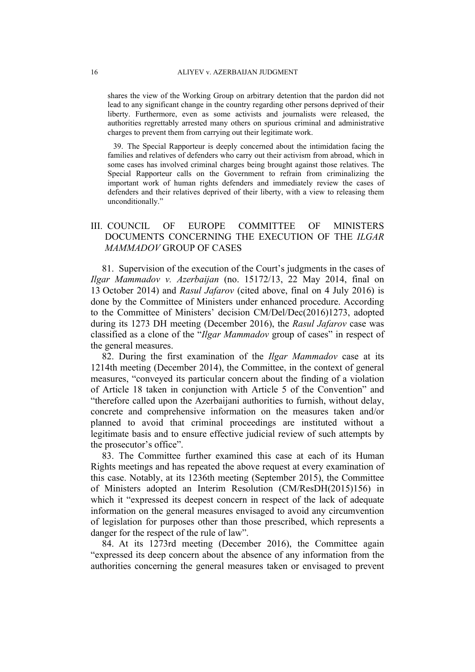shares the view of the Working Group on arbitrary detention that the pardon did not lead to any significant change in the country regarding other persons deprived of their liberty. Furthermore, even as some activists and journalists were released, the authorities regrettably arrested many others on spurious criminal and administrative charges to prevent them from carrying out their legitimate work.

39. The Special Rapporteur is deeply concerned about the intimidation facing the families and relatives of defenders who carry out their activism from abroad, which in some cases has involved criminal charges being brought against those relatives. The Special Rapporteur calls on the Government to refrain from criminalizing the important work of human rights defenders and immediately review the cases of defenders and their relatives deprived of their liberty, with a view to releasing them unconditionally."

## III. COUNCIL OF EUROPE COMMITTEE OF MINISTERS DOCUMENTS CONCERNING THE EXECUTION OF THE *ILGAR MAMMADOV* GROUP OF CASES

81. Supervision of the execution of the Court's judgments in the cases of *Ilgar Mammadov v. Azerbaijan* (no. 15172/13, 22 May 2014, final on 13 October 2014) and *Rasul Jafarov* (cited above, final on 4 July 2016) is done by the Committee of Ministers under enhanced procedure. According to the Committee of Ministers' decision CM/Del/Dec(2016)1273, adopted during its 1273 DH meeting (December 2016), the *Rasul Jafarov* case was classified as a clone of the "*Ilgar Mammadov* group of cases" in respect of the general measures.

82. During the first examination of the *Ilgar Mammadov* case at its 1214th meeting (December 2014), the Committee, in the context of general measures, "conveyed its particular concern about the finding of a violation of Article 18 taken in conjunction with Article 5 of the Convention" and "therefore called upon the Azerbaijani authorities to furnish, without delay, concrete and comprehensive information on the measures taken and/or planned to avoid that criminal proceedings are instituted without a legitimate basis and to ensure effective judicial review of such attempts by the prosecutor's office".

83. The Committee further examined this case at each of its Human Rights meetings and has repeated the above request at every examination of this case. Notably, at its 1236th meeting (September 2015), the Committee of Ministers adopted an Interim Resolution (CM/ResDH(2015)156) in which it "expressed its deepest concern in respect of the lack of adequate information on the general measures envisaged to avoid any circumvention of legislation for purposes other than those prescribed, which represents a danger for the respect of the rule of law".

84. At its 1273rd meeting (December 2016), the Committee again "expressed its deep concern about the absence of any information from the authorities concerning the general measures taken or envisaged to prevent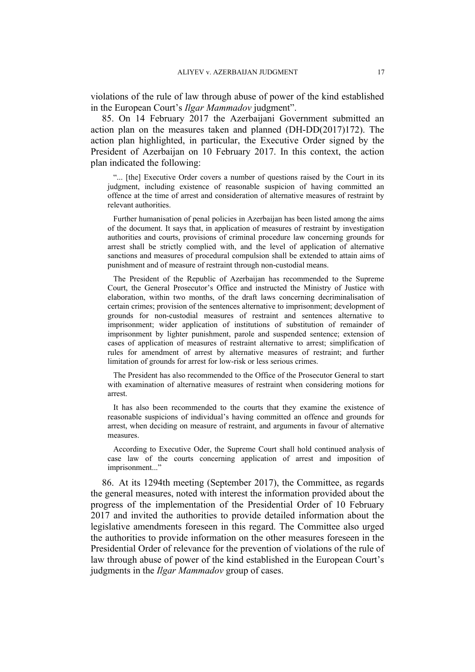violations of the rule of law through abuse of power of the kind established in the European Court's *Ilgar Mammadov* judgment".

85. On 14 February 2017 the Azerbaijani Government submitted an action plan on the measures taken and planned (DH-DD(2017)172). The action plan highlighted, in particular, the Executive Order signed by the President of Azerbaijan on 10 February 2017. In this context, the action plan indicated the following:

"... [the] Executive Order covers a number of questions raised by the Court in its judgment, including existence of reasonable suspicion of having committed an offence at the time of arrest and consideration of alternative measures of restraint by relevant authorities.

Further humanisation of penal policies in Azerbaijan has been listed among the aims of the document. It says that, in application of measures of restraint by investigation authorities and courts, provisions of criminal procedure law concerning grounds for arrest shall be strictly complied with, and the level of application of alternative sanctions and measures of procedural compulsion shall be extended to attain aims of punishment and of measure of restraint through non-custodial means.

The President of the Republic of Azerbaijan has recommended to the Supreme Court, the General Prosecutor's Office and instructed the Ministry of Justice with elaboration, within two months, of the draft laws concerning decriminalisation of certain crimes; provision of the sentences alternative to imprisonment; development of grounds for non-custodial measures of restraint and sentences alternative to imprisonment; wider application of institutions of substitution of remainder of imprisonment by lighter punishment, parole and suspended sentence; extension of cases of application of measures of restraint alternative to arrest; simplification of rules for amendment of arrest by alternative measures of restraint; and further limitation of grounds for arrest for low-risk or less serious crimes.

The President has also recommended to the Office of the Prosecutor General to start with examination of alternative measures of restraint when considering motions for arrest.

It has also been recommended to the courts that they examine the existence of reasonable suspicions of individual's having committed an offence and grounds for arrest, when deciding on measure of restraint, and arguments in favour of alternative measures.

According to Executive Oder, the Supreme Court shall hold continued analysis of case law of the courts concerning application of arrest and imposition of imprisonment..."

86. At its 1294th meeting (September 2017), the Committee, as regards the general measures, noted with interest the information provided about the progress of the implementation of the Presidential Order of 10 February 2017 and invited the authorities to provide detailed information about the legislative amendments foreseen in this regard. The Committee also urged the authorities to provide information on the other measures foreseen in the Presidential Order of relevance for the prevention of violations of the rule of law through abuse of power of the kind established in the European Court's judgments in the *Ilgar Mammadov* group of cases.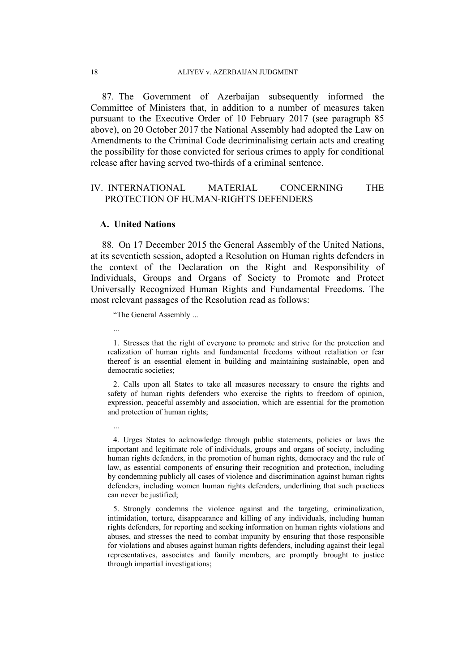87. The Government of Azerbaijan subsequently informed the Committee of Ministers that, in addition to a number of measures taken pursuant to the Executive Order of 10 February 2017 (see paragraph 85 above), on 20 October 2017 the National Assembly had adopted the Law on Amendments to the Criminal Code decriminalising certain acts and creating the possibility for those convicted for serious crimes to apply for conditional release after having served two-thirds of a criminal sentence.

## IV. INTERNATIONAL MATERIAL CONCERNING THE PROTECTION OF HUMAN-RIGHTS DEFENDERS

### **A. United Nations**

88. On 17 December 2015 the General Assembly of the United Nations, at its seventieth session, adopted a Resolution on Human rights defenders in the context of the Declaration on the Right and Responsibility of Individuals, Groups and Organs of Society to Promote and Protect Universally Recognized Human Rights and Fundamental Freedoms. The most relevant passages of the Resolution read as follows:

"The General Assembly ...

...

...

1. Stresses that the right of everyone to promote and strive for the protection and realization of human rights and fundamental freedoms without retaliation or fear thereof is an essential element in building and maintaining sustainable, open and democratic societies;

2. Calls upon all States to take all measures necessary to ensure the rights and safety of human rights defenders who exercise the rights to freedom of opinion, expression, peaceful assembly and association, which are essential for the promotion and protection of human rights;

4. Urges States to acknowledge through public statements, policies or laws the important and legitimate role of individuals, groups and organs of society, including human rights defenders, in the promotion of human rights, democracy and the rule of law, as essential components of ensuring their recognition and protection, including by condemning publicly all cases of violence and discrimination against human rights defenders, including women human rights defenders, underlining that such practices can never be justified:

5. Strongly condemns the violence against and the targeting, criminalization, intimidation, torture, disappearance and killing of any individuals, including human rights defenders, for reporting and seeking information on human rights violations and abuses, and stresses the need to combat impunity by ensuring that those responsible for violations and abuses against human rights defenders, including against their legal representatives, associates and family members, are promptly brought to justice through impartial investigations;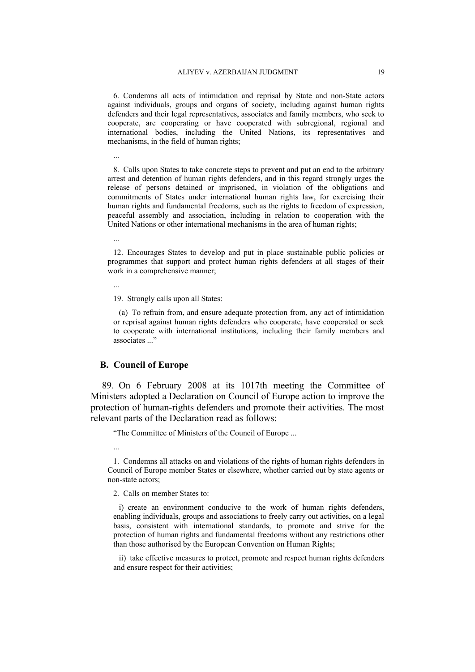6. Condemns all acts of intimidation and reprisal by State and non-State actors against individuals, groups and organs of society, including against human rights defenders and their legal representatives, associates and family members, who seek to cooperate, are cooperating or have cooperated with subregional, regional and international bodies, including the United Nations, its representatives and mechanisms, in the field of human rights;

8. Calls upon States to take concrete steps to prevent and put an end to the arbitrary arrest and detention of human rights defenders, and in this regard strongly urges the release of persons detained or imprisoned, in violation of the obligations and commitments of States under international human rights law, for exercising their human rights and fundamental freedoms, such as the rights to freedom of expression, peaceful assembly and association, including in relation to cooperation with the United Nations or other international mechanisms in the area of human rights;

...

...

12. Encourages States to develop and put in place sustainable public policies or programmes that support and protect human rights defenders at all stages of their work in a comprehensive manner;

...

19. Strongly calls upon all States:

(a) To refrain from, and ensure adequate protection from, any act of intimidation or reprisal against human rights defenders who cooperate, have cooperated or seek to cooperate with international institutions, including their family members and associates ..."

### **B. Council of Europe**

89. On 6 February 2008 at its 1017th meeting the Committee of Ministers adopted a Declaration on Council of Europe action to improve the protection of human-rights defenders and promote their activities. The most relevant parts of the Declaration read as follows:

"The Committee of Ministers of the Council of Europe ...

1. Condemns all attacks on and violations of the rights of human rights defenders in Council of Europe member States or elsewhere, whether carried out by state agents or non-state actors;

2. Calls on member States to:

i) create an environment conducive to the work of human rights defenders, enabling individuals, groups and associations to freely carry out activities, on a legal basis, consistent with international standards, to promote and strive for the protection of human rights and fundamental freedoms without any restrictions other than those authorised by the European Convention on Human Rights;

ii) take effective measures to protect, promote and respect human rights defenders and ensure respect for their activities;

<sup>...</sup>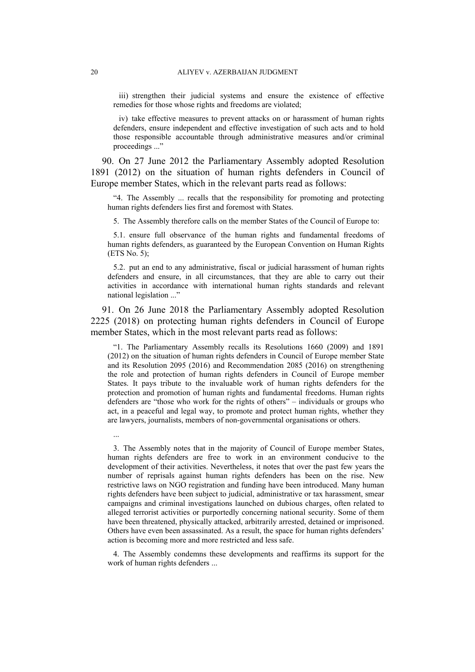iii) strengthen their judicial systems and ensure the existence of effective remedies for those whose rights and freedoms are violated;

iv) take effective measures to prevent attacks on or harassment of human rights defenders, ensure independent and effective investigation of such acts and to hold those responsible accountable through administrative measures and/or criminal proceedings ..."

90. On 27 June 2012 the Parliamentary Assembly adopted Resolution 1891 (2012) on the situation of human rights defenders in Council of Europe member States, which in the relevant parts read as follows:

"4. The Assembly ... recalls that the responsibility for promoting and protecting human rights defenders lies first and foremost with States.

5. The Assembly therefore calls on the member States of the Council of Europe to:

5.1. ensure full observance of the human rights and fundamental freedoms of human rights defenders, as guaranteed by the European Convention on Human Rights (ETS No. 5);

5.2. put an end to any administrative, fiscal or judicial harassment of human rights defenders and ensure, in all circumstances, that they are able to carry out their activities in accordance with international human rights standards and relevant national legislation ..."

91. On 26 June 2018 the Parliamentary Assembly adopted Resolution 2225 (2018) on protecting human rights defenders in Council of Europe member States, which in the most relevant parts read as follows:

"1. The Parliamentary Assembly recalls its [Resolutions](http://assembly.coe.int/nw/xml/XRef/Xref-DocDetails-en.asp?FileID=17727&lang=en) 1660 (2009) and [1891](http://assembly.coe.int/nw/xml/XRef/Xref-DocDetails-EN.asp?FileID=18948&lang=EN) [\(2012\)](http://assembly.coe.int/nw/xml/XRef/Xref-DocDetails-EN.asp?FileID=18948&lang=EN) on the situation of human rights defenders in Council of Europe member State and its [Resolution](http://assembly.coe.int/nw/xml/XRef/Xref-DocDetails-en.asp?FileID=22500&lang=en) 2095 (2016) and [Recommendation](http://assembly.coe.int/nw/xml/XRef/Xref-DocDetails-en.asp?FileID=22501&lang=en) 2085 (2016) on strengthening the role and protection of human rights defenders in Council of Europe member States. It pays tribute to the invaluable work of human rights defenders for the protection and promotion of human rights and fundamental freedoms. Human rights defenders are "those who work for the rights of others" – individuals or groups who act, in a peaceful and legal way, to promote and protect human rights, whether they are lawyers, journalists, members of non-governmental organisations or others.

3. The Assembly notes that in the majority of Council of Europe member States, human rights defenders are free to work in an environment conducive to the development of their activities. Nevertheless, it notes that over the past few years the number of reprisals against human rights defenders has been on the rise. New restrictive laws on NGO registration and funding have been introduced. Many human rights defenders have been subject to judicial, administrative or tax harassment, smear campaigns and criminal investigations launched on dubious charges, often related to alleged terrorist activities or purportedly concerning national security. Some of them have been threatened, physically attacked, arbitrarily arrested, detained or imprisoned. Others have even been assassinated. As a result, the space for human rights defenders' action is becoming more and more restricted and less safe.

4. The Assembly condemns these developments and reaffirms its support for the work of human rights defenders ...

...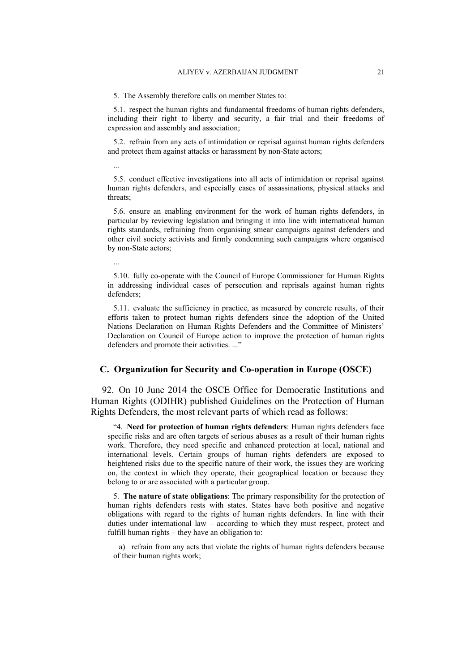5. The Assembly therefore calls on member States to:

5.1. respect the human rights and fundamental freedoms of human rights defenders, including their right to liberty and security, a fair trial and their freedoms of expression and assembly and association;

5.2. refrain from any acts of intimidation or reprisal against human rights defenders and protect them against attacks or harassment by non-State actors;

5.5. conduct effective investigations into all acts of intimidation or reprisal against human rights defenders, and especially cases of assassinations, physical attacks and threats;

5.6. ensure an enabling environment for the work of human rights defenders, in particular by reviewing legislation and bringing it into line with international human rights standards, refraining from organising smear campaigns against defenders and other civil society activists and firmly condemning such campaigns where organised by non-State actors;

...

...

5.10. fully co-operate with the Council of Europe Commissioner for Human Rights in addressing individual cases of persecution and reprisals against human rights defenders;

5.11. evaluate the sufficiency in practice, as measured by concrete results, of their efforts taken to protect human rights defenders since the adoption of the United Nations Declaration on Human Rights Defenders and the Committee of Ministers' Declaration on Council of Europe action to improve the protection of human rights defenders and promote their activities. ..."

#### **C. Organization for Security and Co-operation in Europe (OSCE)**

92. On 10 June 2014 the OSCE Office for Democratic Institutions and Human Rights (ODIHR) published Guidelines on the Protection of Human Rights Defenders, the most relevant parts of which read as follows:

"4. **Need for protection of human rights defenders**: Human rights defenders face specific risks and are often targets of serious abuses as a result of their human rights work. Therefore, they need specific and enhanced protection at local, national and international levels. Certain groups of human rights defenders are exposed to heightened risks due to the specific nature of their work, the issues they are working on, the context in which they operate, their geographical location or because they belong to or are associated with a particular group.

5. **The nature of state obligations**: The primary responsibility for the protection of human rights defenders rests with states. States have both positive and negative obligations with regard to the rights of human rights defenders. In line with their duties under international law – according to which they must respect, protect and fulfill human rights – they have an obligation to:

a) refrain from any acts that violate the rights of human rights defenders because of their human rights work;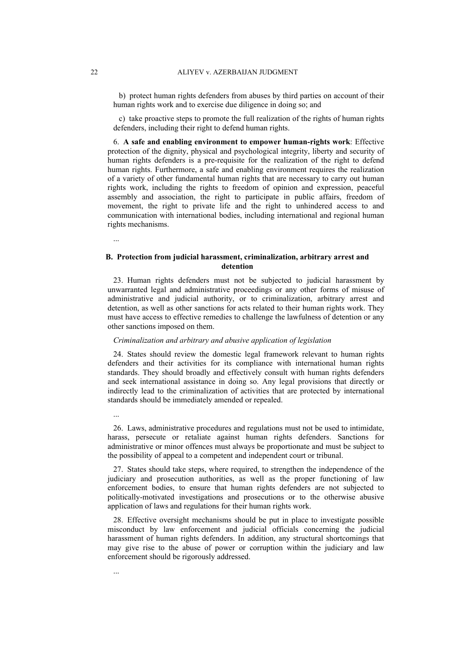b) protect human rights defenders from abuses by third parties on account of their human rights work and to exercise due diligence in doing so; and

c) take proactive steps to promote the full realization of the rights of human rights defenders, including their right to defend human rights.

6. **A safe and enabling environment to empower human-rights work**: Effective protection of the dignity, physical and psychological integrity, liberty and security of human rights defenders is a pre-requisite for the realization of the right to defend human rights. Furthermore, a safe and enabling environment requires the realization of a variety of other fundamental human rights that are necessary to carry out human rights work, including the rights to freedom of opinion and expression, peaceful assembly and association, the right to participate in public affairs, freedom of movement, the right to private life and the right to unhindered access to and communication with international bodies, including international and regional human rights mechanisms.

...

...

...

### **B. Protection from judicial harassment, criminalization, arbitrary arrest and detention**

23. Human rights defenders must not be subjected to judicial harassment by unwarranted legal and administrative proceedings or any other forms of misuse of administrative and judicial authority, or to criminalization, arbitrary arrest and detention, as well as other sanctions for acts related to their human rights work. They must have access to effective remedies to challenge the lawfulness of detention or any other sanctions imposed on them.

#### *Criminalization and arbitrary and abusive application of legislation*

24. States should review the domestic legal framework relevant to human rights defenders and their activities for its compliance with international human rights standards. They should broadly and effectively consult with human rights defenders and seek international assistance in doing so. Any legal provisions that directly or indirectly lead to the criminalization of activities that are protected by international standards should be immediately amended or repealed.

26. Laws, administrative procedures and regulations must not be used to intimidate, harass, persecute or retaliate against human rights defenders. Sanctions for administrative or minor offences must always be proportionate and must be subject to the possibility of appeal to a competent and independent court or tribunal.

27. States should take steps, where required, to strengthen the independence of the judiciary and prosecution authorities, as well as the proper functioning of law enforcement bodies, to ensure that human rights defenders are not subjected to politically-motivated investigations and prosecutions or to the otherwise abusive application of laws and regulations for their human rights work.

28. Effective oversight mechanisms should be put in place to investigate possible misconduct by law enforcement and judicial officials concerning the judicial harassment of human rights defenders. In addition, any structural shortcomings that may give rise to the abuse of power or corruption within the judiciary and law enforcement should be rigorously addressed.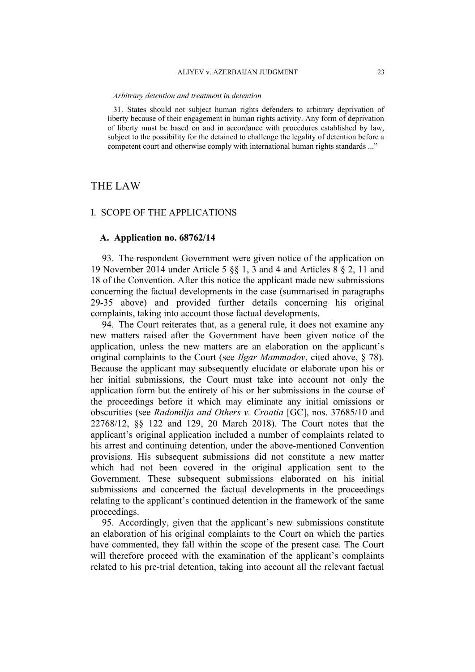#### ALIYEV v. AZERBAIJAN JUDGMENT 23

#### *Arbitrary detention and treatment in detention*

31. States should not subject human rights defenders to arbitrary deprivation of liberty because of their engagement in human rights activity. Any form of deprivation of liberty must be based on and in accordance with procedures established by law, subject to the possibility for the detained to challenge the legality of detention before a competent court and otherwise comply with international human rights standards ..."

## THE LAW

#### I. SCOPE OF THE APPLICATIONS

### **A. Application no. 68762/14**

93. The respondent Government were given notice of the application on 19 November 2014 under Article 5 §§ 1, 3 and 4 and Articles 8 § 2, 11 and 18 of the Convention. After this notice the applicant made new submissions concerning the factual developments in the case (summarised in paragraphs 29-35 above) and provided further details concerning his original complaints, taking into account those factual developments.

94. The Court reiterates that, as a general rule, it does not examine any new matters raised after the Government have been given notice of the application, unless the new matters are an elaboration on the applicant's original complaints to the Court (see *Ilgar Mammadov*, cited above, § 78). Because the applicant may subsequently elucidate or elaborate upon his or her initial submissions, the Court must take into account not only the application form but the entirety of his or her submissions in the course of the proceedings before it which may eliminate any initial omissions or obscurities (see *Radomilja and Others v. Croatia* [GC], nos. 37685/10 and 22768/12, §§ 122 and 129, 20 March 2018). The Court notes that the applicant's original application included a number of complaints related to his arrest and continuing detention, under the above-mentioned Convention provisions. His subsequent submissions did not constitute a new matter which had not been covered in the original application sent to the Government. These subsequent submissions elaborated on his initial submissions and concerned the factual developments in the proceedings relating to the applicant's continued detention in the framework of the same proceedings.

95. Accordingly, given that the applicant's new submissions constitute an elaboration of his original complaints to the Court on which the parties have commented, they fall within the scope of the present case. The Court will therefore proceed with the examination of the applicant's complaints related to his pre-trial detention, taking into account all the relevant factual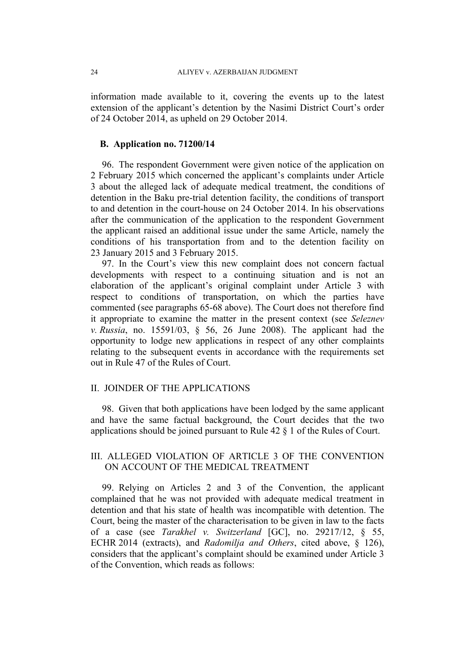information made available to it, covering the events up to the latest extension of the applicant's detention by the Nasimi District Court's order of 24 October 2014, as upheld on 29 October 2014.

## **B. Application no. 71200/14**

96. The respondent Government were given notice of the application on 2 February 2015 which concerned the applicant's complaints under Article 3 about the alleged lack of adequate medical treatment, the conditions of detention in the Baku pre-trial detention facility, the conditions of transport to and detention in the court-house on 24 October 2014. In his observations after the communication of the application to the respondent Government the applicant raised an additional issue under the same Article, namely the conditions of his transportation from and to the detention facility on 23 January 2015 and 3 February 2015.

97. In the Court's view this new complaint does not concern factual developments with respect to a continuing situation and is not an elaboration of the applicant's original complaint under Article 3 with respect to conditions of transportation, on which the parties have commented (see paragraphs 65-68 above). The Court does not therefore find it appropriate to examine the matter in the present context (see *Seleznev v. Russia*, no. 15591/03, § 56, 26 June 2008). The applicant had the opportunity to lodge new applications in respect of any other complaints relating to the subsequent events in accordance with the requirements set out in Rule 47 of the Rules of Court.

## II. JOINDER OF THE APPLICATIONS

98. Given that both applications have been lodged by the same applicant and have the same factual background, the Court decides that the two applications should be joined pursuant to Rule 42 § 1 of the Rules of Court.

## III. ALLEGED VIOLATION OF ARTICLE 3 OF THE CONVENTION ON ACCOUNT OF THE MEDICAL TREATMENT

99. Relying on Articles 2 and 3 of the Convention, the applicant complained that he was not provided with adequate medical treatment in detention and that his state of health was incompatible with detention. The Court, being the master of the characterisation to be given in law to the facts of a case (see *Tarakhel v. Switzerland* [GC], no. 29217/12, § 55, ECHR 2014 (extracts), and *Radomilja and Others*, cited above, § 126), considers that the applicant's complaint should be examined under Article 3 of the Convention, which reads as follows: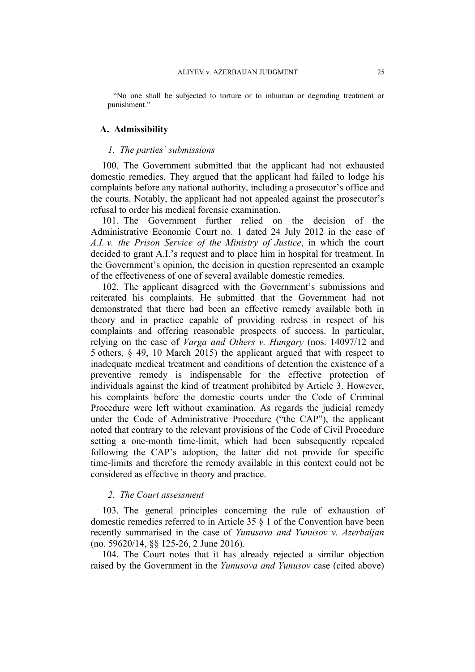"No one shall be subjected to torture or to inhuman or degrading treatment or punishment."

### **A. Admissibility**

#### *1. The parties' submissions*

100. The Government submitted that the applicant had not exhausted domestic remedies. They argued that the applicant had failed to lodge his complaints before any national authority, including a prosecutor's office and the courts. Notably, the applicant had not appealed against the prosecutor's refusal to order his medical forensic examination.

101. The Government further relied on the decision of the Administrative Economic Court no. 1 dated 24 July 2012 in the case of *A.I. v. the Prison Service of the Ministry of Justice*, in which the court decided to grant A.I.'s request and to place him in hospital for treatment. In the Government's opinion, the decision in question represented an example of the effectiveness of one of several available domestic remedies.

102. The applicant disagreed with the Government's submissions and reiterated his complaints. He submitted that the Government had not demonstrated that there had been an effective remedy available both in theory and in practice capable of providing redress in respect of his complaints and offering reasonable prospects of success. In particular, relying on the case of *Varga and Others v. Hungary* (nos. 14097/12 and 5 others, § 49, 10 March 2015) the applicant argued that with respect to inadequate medical treatment and conditions of detention the existence of a preventive remedy is indispensable for the effective protection of individuals against the kind of treatment prohibited by Article 3. However, his complaints before the domestic courts under the Code of Criminal Procedure were left without examination. As regards the judicial remedy under the Code of Administrative Procedure ("the CAP"), the applicant noted that contrary to the relevant provisions of the Code of Civil Procedure setting a one-month time-limit, which had been subsequently repealed following the CAP's adoption, the latter did not provide for specific time-limits and therefore the remedy available in this context could not be considered as effective in theory and practice.

#### *2. The Court assessment*

103. The general principles concerning the rule of exhaustion of domestic remedies referred to in Article 35 § 1 of the Convention have been recently summarised in the case of *Yunusova and Yunusov v. Azerbaijan* (no. 59620/14, §§ 125-26, 2 June 2016).

104. The Court notes that it has already rejected a similar objection raised by the Government in the *Yunusova and Yunusov* case (cited above)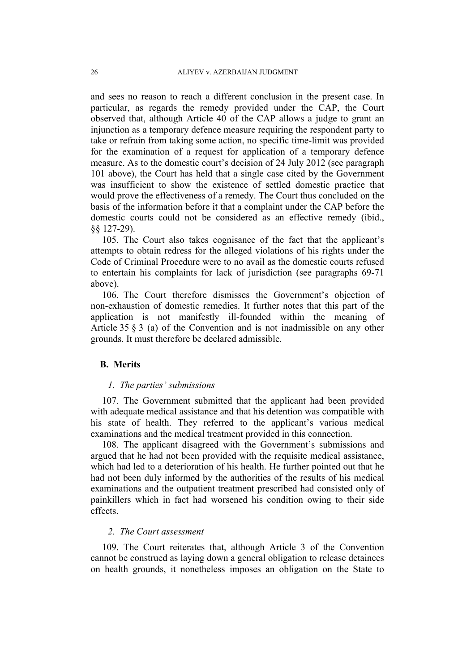and sees no reason to reach a different conclusion in the present case. In particular, as regards the remedy provided under the CAP, the Court observed that, although Article 40 of the CAP allows a judge to grant an injunction as a temporary defence measure requiring the respondent party to take or refrain from taking some action, no specific time-limit was provided for the examination of a request for application of a temporary defence measure. As to the domestic court's decision of 24 July 2012 (see paragraph 101 above), the Court has held that a single case cited by the Government was insufficient to show the existence of settled domestic practice that would prove the effectiveness of a remedy. The Court thus concluded on the basis of the information before it that a complaint under the CAP before the domestic courts could not be considered as an effective remedy (ibid., §§ 127-29).

105. The Court also takes cognisance of the fact that the applicant's attempts to obtain redress for the alleged violations of his rights under the Code of Criminal Procedure were to no avail as the domestic courts refused to entertain his complaints for lack of jurisdiction (see paragraphs 69-71 above).

106. The Court therefore dismisses the Government's objection of non-exhaustion of domestic remedies. It further notes that this part of the application is not manifestly ill-founded within the meaning of Article 35 § 3 (a) of the Convention and is not inadmissible on any other grounds. It must therefore be declared admissible.

### **B. Merits**

#### *1. The parties' submissions*

107. The Government submitted that the applicant had been provided with adequate medical assistance and that his detention was compatible with his state of health. They referred to the applicant's various medical examinations and the medical treatment provided in this connection.

108. The applicant disagreed with the Government's submissions and argued that he had not been provided with the requisite medical assistance, which had led to a deterioration of his health. He further pointed out that he had not been duly informed by the authorities of the results of his medical examinations and the outpatient treatment prescribed had consisted only of painkillers which in fact had worsened his condition owing to their side effects.

### *2. The Court assessment*

109. The Court reiterates that, although Article 3 of the Convention cannot be construed as laying down a general obligation to release detainees on health grounds, it nonetheless imposes an obligation on the State to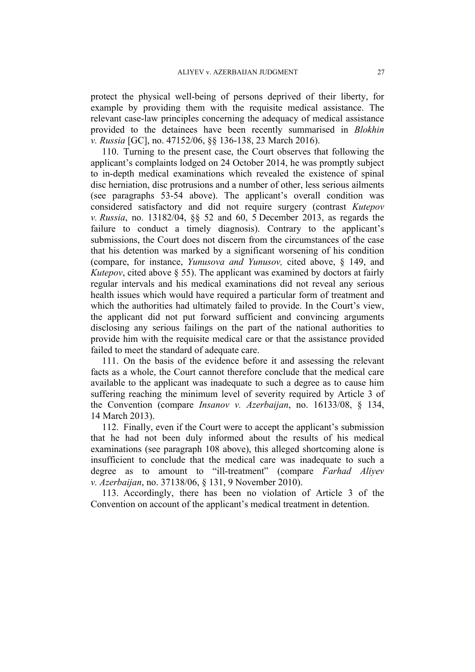protect the physical well-being of persons deprived of their liberty, for example by providing them with the requisite medical assistance. The relevant case-law principles concerning the adequacy of medical assistance provided to the detainees have been recently summarised in *Blokhin v. Russia* [GC], no. 47152/06, §§ 136-138, 23 March 2016).

110. Turning to the present case, the Court observes that following the applicant's complaints lodged on 24 October 2014, he was promptly subject to in-depth medical examinations which revealed the existence of spinal disc herniation, disc protrusions and a number of other, less serious ailments (see paragraphs 53-54 above). The applicant's overall condition was considered satisfactory and did not require surgery (contrast *Kutepov v. Russia*, no. 13182/04, §§ 52 and 60, 5 December 2013, as regards the failure to conduct a timely diagnosis). Contrary to the applicant's submissions, the Court does not discern from the circumstances of the case that his detention was marked by a significant worsening of his condition (compare, for instance, *Yunusova and Yunusov,* cited above, § 149, and *Kutepov*, cited above § 55). The applicant was examined by doctors at fairly regular intervals and his medical examinations did not reveal any serious health issues which would have required a particular form of treatment and which the authorities had ultimately failed to provide. In the Court's view, the applicant did not put forward sufficient and convincing arguments disclosing any serious failings on the part of the national authorities to provide him with the requisite medical care or that the assistance provided failed to meet the standard of adequate care.

111. On the basis of the evidence before it and assessing the relevant facts as a whole, the Court cannot therefore conclude that the medical care available to the applicant was inadequate to such a degree as to cause him suffering reaching the minimum level of severity required by Article 3 of the Convention (compare *Insanov v. Azerbaijan*, no. 16133/08, § 134, 14 March 2013).

112. Finally, even if the Court were to accept the applicant's submission that he had not been duly informed about the results of his medical examinations (see paragraph 108 above), this alleged shortcoming alone is insufficient to conclude that the medical care was inadequate to such a degree as to amount to "ill-treatment" (compare *Farhad Aliyev v. Azerbaijan*, no. 37138/06, § 131, 9 November 2010).

113. Accordingly, there has been no violation of Article 3 of the Convention on account of the applicant's medical treatment in detention.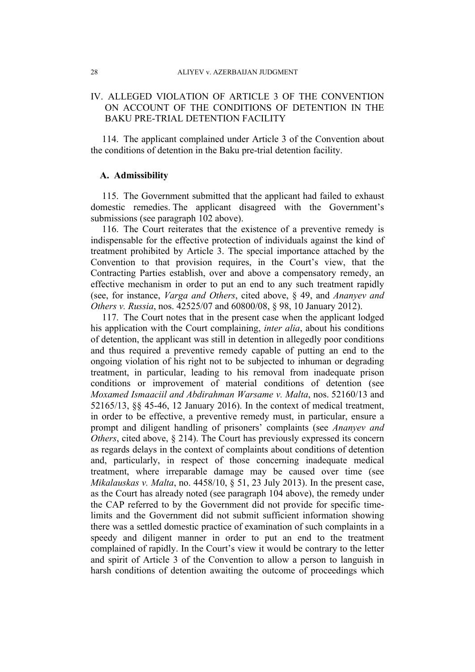## IV. ALLEGED VIOLATION OF ARTICLE 3 OF THE CONVENTION ON ACCOUNT OF THE CONDITIONS OF DETENTION IN THE BAKU PRE-TRIAL DETENTION FACILITY

114. The applicant complained under Article 3 of the Convention about the conditions of detention in the Baku pre-trial detention facility.

## **A. Admissibility**

115. The Government submitted that the applicant had failed to exhaust domestic remedies. The applicant disagreed with the Government's submissions (see paragraph 102 above).

116. The Court reiterates that the existence of a preventive remedy is indispensable for the effective protection of individuals against the kind of treatment prohibited by Article 3. The special importance attached by the Convention to that provision requires, in the Court's view, that the Contracting Parties establish, over and above a compensatory remedy, an effective mechanism in order to put an end to any such treatment rapidly (see, for instance, *Varga and Others*, cited above, § 49, and *Ananyev and Others v. Russia*, nos. 42525/07 and 60800/08, § 98, 10 January 2012).

117. The Court notes that in the present case when the applicant lodged his application with the Court complaining, *inter alia*, about his conditions of detention, the applicant was still in detention in allegedly poor conditions and thus required a preventive remedy capable of putting an end to the ongoing violation of his right not to be subjected to inhuman or degrading treatment, in particular, leading to his removal from inadequate prison conditions or improvement of material conditions of detention (see *Moxamed Ismaaciil and Abdirahman Warsame v. Malta*, nos. 52160/13 and 52165/13, §§ 45-46, 12 January 2016). In the context of medical treatment, in order to be effective, a preventive remedy must, in particular, ensure a prompt and diligent handling of prisoners' complaints (see *Ananyev and Others*, cited above, § 214). The Court has previously expressed its concern as regards delays in the context of complaints about conditions of detention and, particularly, in respect of those concerning inadequate medical treatment, where irreparable damage may be caused over time (see *Mikalauskas v. Malta*, no. 4458/10, § 51, 23 July 2013). In the present case, as the Court has already noted (see paragraph 104 above), the remedy under the CAP referred to by the Government did not provide for specific timelimits and the Government did not submit sufficient information showing there was a settled domestic practice of examination of such complaints in a speedy and diligent manner in order to put an end to the treatment complained of rapidly. In the Court's view it would be contrary to the letter and spirit of Article 3 of the Convention to allow a person to languish in harsh conditions of detention awaiting the outcome of proceedings which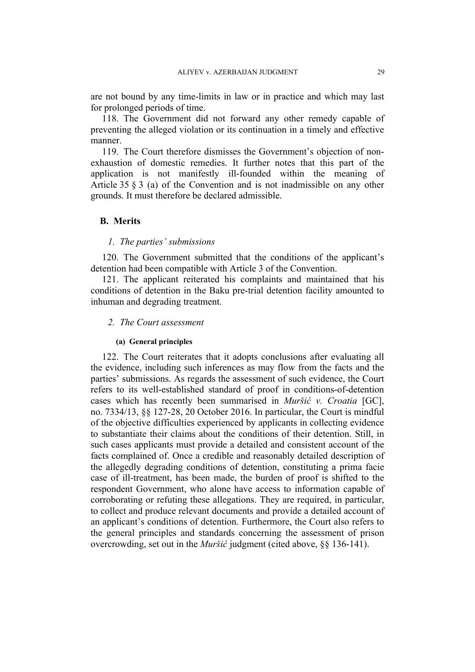are not bound by any time-limits in law or in practice and which may last for prolonged periods of time.

118. The Government did not forward any other remedy capable of preventing the alleged violation or its continuation in a timely and effective manner.

119. The Court therefore dismisses the Government's objection of nonexhaustion of domestic remedies. It further notes that this part of the application is not manifestly ill-founded within the meaning of Article 35 § 3 (a) of the Convention and is not inadmissible on any other grounds. It must therefore be declared admissible.

#### **B. Merits**

### *1. The parties' submissions*

120. The Government submitted that the conditions of the applicant's detention had been compatible with Article 3 of the Convention.

121. The applicant reiterated his complaints and maintained that his conditions of detention in the Baku pre-trial detention facility amounted to inhuman and degrading treatment.

#### *2. The Court assessment*

#### **(a) General principles**

122. The Court reiterates that it adopts conclusions after evaluating all the evidence, including such inferences as may flow from the facts and the parties' submissions. As regards the assessment of such evidence, the Court refers to its well-established standard of proof in conditions-of-detention cases which has recently been summarised in *Muršić v. Croatia* [GC], no. 7334/13, §§ 127-28, 20 October 2016. In particular, the Court is mindful of the objective difficulties experienced by applicants in collecting evidence to substantiate their claims about the conditions of their detention. Still, in such cases applicants must provide a detailed and consistent account of the facts complained of. Once a credible and reasonably detailed description of the allegedly degrading conditions of detention, constituting a prima facie case of ill-treatment, has been made, the burden of proof is shifted to the respondent Government, who alone have access to information capable of corroborating or refuting these allegations. They are required, in particular, to collect and produce relevant documents and provide a detailed account of an applicant's conditions of detention. Furthermore, the Court also refers to the general principles and standards concerning the assessment of prison overcrowding, set out in the *Muršić* judgment (cited above, §§ 136-141).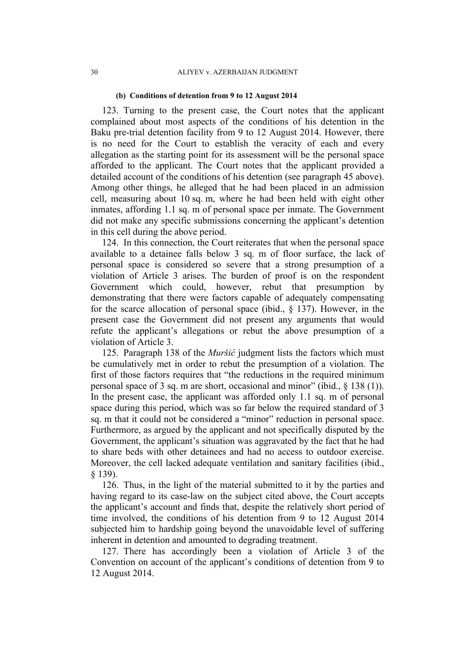#### **(b) Conditions of detention from 9 to 12 August 2014**

123. Turning to the present case, the Court notes that the applicant complained about most aspects of the conditions of his detention in the Baku pre-trial detention facility from 9 to 12 August 2014. However, there is no need for the Court to establish the veracity of each and every allegation as the starting point for its assessment will be the personal space afforded to the applicant. The Court notes that the applicant provided a detailed account of the conditions of his detention (see paragraph 45 above). Among other things, he alleged that he had been placed in an admission cell, measuring about 10 sq. m, where he had been held with eight other inmates, affording 1.1 sq. m of personal space per inmate. The Government did not make any specific submissions concerning the applicant's detention in this cell during the above period.

124. In this connection, the Court reiterates that when the personal space available to a detainee falls below 3 sq. m of floor surface, the lack of personal space is considered so severe that a strong presumption of a violation of Article 3 arises. The burden of proof is on the respondent Government which could, however, rebut that presumption by demonstrating that there were factors capable of adequately compensating for the scarce allocation of personal space (ibid., § 137). However, in the present case the Government did not present any arguments that would refute the applicant's allegations or rebut the above presumption of a violation of Article 3.

125. Paragraph 138 of the *Muršić* judgment lists the factors which must be cumulatively met in order to rebut the presumption of a violation. The first of those factors requires that "the reductions in the required minimum personal space of 3 sq. m are short, occasional and minor" (ibid., § 138 (1)). In the present case, the applicant was afforded only 1.1 sq. m of personal space during this period, which was so far below the required standard of 3 sq. m that it could not be considered a "minor" reduction in personal space. Furthermore, as argued by the applicant and not specifically disputed by the Government, the applicant's situation was aggravated by the fact that he had to share beds with other detainees and had no access to outdoor exercise. Moreover, the cell lacked adequate ventilation and sanitary facilities (ibid., § 139).

126. Thus, in the light of the material submitted to it by the parties and having regard to its case-law on the subject cited above, the Court accepts the applicant's account and finds that, despite the relatively short period of time involved, the conditions of his detention from 9 to 12 August 2014 subjected him to hardship going beyond the unavoidable level of suffering inherent in detention and amounted to degrading treatment.

127. There has accordingly been a violation of Article 3 of the Convention on account of the applicant's conditions of detention from 9 to 12 August 2014.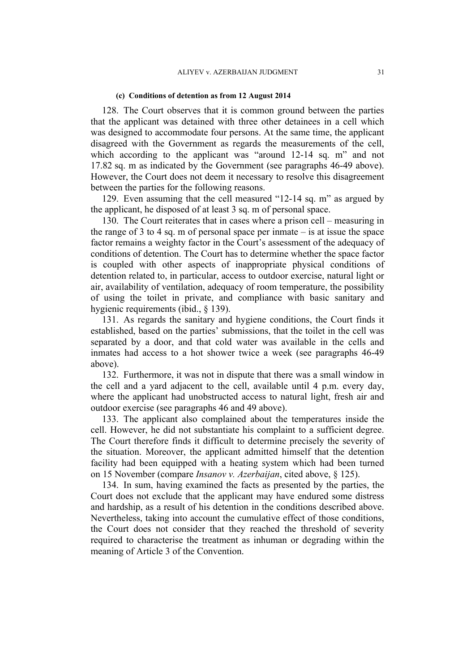#### **(c) Conditions of detention as from 12 August 2014**

128. The Court observes that it is common ground between the parties that the applicant was detained with three other detainees in a cell which was designed to accommodate four persons. At the same time, the applicant disagreed with the Government as regards the measurements of the cell, which according to the applicant was "around 12-14 sq. m" and not 17.82 sq. m as indicated by the Government (see paragraphs 46-49 above). However, the Court does not deem it necessary to resolve this disagreement between the parties for the following reasons.

129. Even assuming that the cell measured "12-14 sq. m" as argued by the applicant, he disposed of at least 3 sq. m of personal space.

130. The Court reiterates that in cases where a prison cell – measuring in the range of  $3$  to  $4$  sq. m of personal space per inmate  $-$  is at issue the space factor remains a weighty factor in the Court's assessment of the adequacy of conditions of detention. The Court has to determine whether the space factor is coupled with other aspects of inappropriate physical conditions of detention related to, in particular, access to outdoor exercise, natural light or air, availability of ventilation, adequacy of room temperature, the possibility of using the toilet in private, and compliance with basic sanitary and hygienic requirements (ibid., § 139).

131. As regards the sanitary and hygiene conditions, the Court finds it established, based on the parties' submissions, that the toilet in the cell was separated by a door, and that cold water was available in the cells and inmates had access to a hot shower twice a week (see paragraphs 46-49 above).

132. Furthermore, it was not in dispute that there was a small window in the cell and a yard adjacent to the cell, available until 4 p.m. every day, where the applicant had unobstructed access to natural light, fresh air and outdoor exercise (see paragraphs 46 and 49 above).

133. The applicant also complained about the temperatures inside the cell. However, he did not substantiate his complaint to a sufficient degree. The Court therefore finds it difficult to determine precisely the severity of the situation. Moreover, the applicant admitted himself that the detention facility had been equipped with a heating system which had been turned on 15 November (compare *Insanov v. Azerbaijan*, cited above, § 125).

134. In sum, having examined the facts as presented by the parties, the Court does not exclude that the applicant may have endured some distress and hardship, as a result of his detention in the conditions described above. Nevertheless, taking into account the cumulative effect of those conditions, the Court does not consider that they reached the threshold of severity required to characterise the treatment as inhuman or degrading within the meaning of Article 3 of the Convention.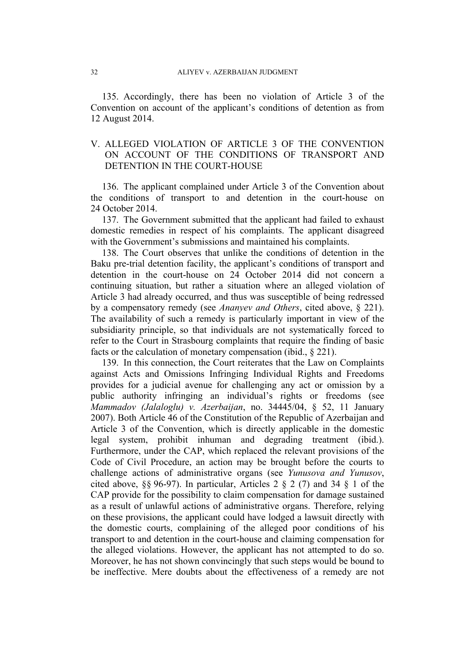135. Accordingly, there has been no violation of Article 3 of the Convention on account of the applicant's conditions of detention as from 12 August 2014.

## V. ALLEGED VIOLATION OF ARTICLE 3 OF THE CONVENTION ON ACCOUNT OF THE CONDITIONS OF TRANSPORT AND DETENTION IN THE COURT-HOUSE

136. The applicant complained under Article 3 of the Convention about the conditions of transport to and detention in the court-house on 24 October 2014.

137. The Government submitted that the applicant had failed to exhaust domestic remedies in respect of his complaints. The applicant disagreed with the Government's submissions and maintained his complaints.

138. The Court observes that unlike the conditions of detention in the Baku pre-trial detention facility, the applicant's conditions of transport and detention in the court-house on 24 October 2014 did not concern a continuing situation, but rather a situation where an alleged violation of Article 3 had already occurred, and thus was susceptible of being redressed by a compensatory remedy (see *Ananyev and Others*, cited above, § 221). The availability of such a remedy is particularly important in view of the subsidiarity principle, so that individuals are not systematically forced to refer to the Court in Strasbourg complaints that require the finding of basic facts or the calculation of monetary compensation (ibid., § 221).

139. In this connection, the Court reiterates that the Law on Complaints against Acts and Omissions Infringing Individual Rights and Freedoms provides for a judicial avenue for challenging any act or omission by a public authority infringing an individual's rights or freedoms (see *Mammadov (Jalaloglu) v. Azerbaijan*, no. 34445/04, § 52, 11 January 2007). Both Article 46 of the Constitution of the Republic of Azerbaijan and Article 3 of the Convention, which is directly applicable in the domestic legal system, prohibit inhuman and degrading treatment (ibid.). Furthermore, under the CAP, which replaced the relevant provisions of the Code of Civil Procedure, an action may be brought before the courts to challenge actions of administrative organs (see *Yunusova and Yunusov*, cited above, §§ 96-97). In particular, Articles 2 § 2 (7) and 34 § 1 of the CAP provide for the possibility to claim compensation for damage sustained as a result of unlawful actions of administrative organs. Therefore, relying on these provisions, the applicant could have lodged a lawsuit directly with the domestic courts, complaining of the alleged poor conditions of his transport to and detention in the court-house and claiming compensation for the alleged violations. However, the applicant has not attempted to do so. Moreover, he has not shown convincingly that such steps would be bound to be ineffective. Mere doubts about the effectiveness of a remedy are not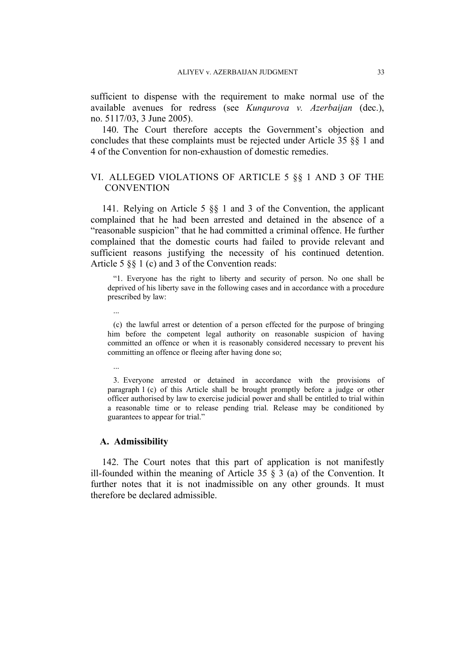sufficient to dispense with the requirement to make normal use of the available avenues for redress (see *Kunqurova v. Azerbaijan* (dec.), no. 5117/03, 3 June 2005).

140. The Court therefore accepts the Government's objection and concludes that these complaints must be rejected under Article 35 §§ 1 and 4 of the Convention for non-exhaustion of domestic remedies.

## VI. ALLEGED VIOLATIONS OF ARTICLE 5 §§ 1 AND 3 OF THE **CONVENTION**

141. Relying on Article 5 §§ 1 and 3 of the Convention, the applicant complained that he had been arrested and detained in the absence of a "reasonable suspicion" that he had committed a criminal offence. He further complained that the domestic courts had failed to provide relevant and sufficient reasons justifying the necessity of his continued detention. Article 5 §§ 1 (c) and 3 of the Convention reads:

"1. Everyone has the right to liberty and security of person. No one shall be deprived of his liberty save in the following cases and in accordance with a procedure prescribed by law:

(c) the lawful arrest or detention of a person effected for the purpose of bringing him before the competent legal authority on reasonable suspicion of having committed an offence or when it is reasonably considered necessary to prevent his committing an offence or fleeing after having done so;

...

...

3. Everyone arrested or detained in accordance with the provisions of paragraph 1 (c) of this Article shall be brought promptly before a judge or other officer authorised by law to exercise judicial power and shall be entitled to trial within a reasonable time or to release pending trial. Release may be conditioned by guarantees to appear for trial."

### **A. Admissibility**

142. The Court notes that this part of application is not manifestly ill-founded within the meaning of Article 35  $\S$  3 (a) of the Convention. It further notes that it is not inadmissible on any other grounds. It must therefore be declared admissible.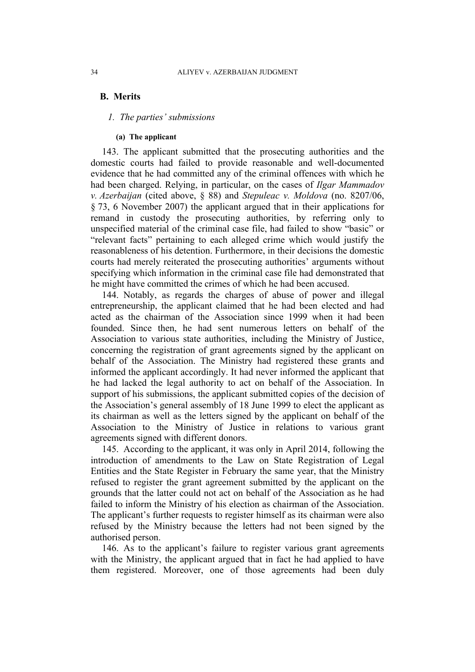### **B. Merits**

### *1. The parties' submissions*

#### **(a) The applicant**

143. The applicant submitted that the prosecuting authorities and the domestic courts had failed to provide reasonable and well-documented evidence that he had committed any of the criminal offences with which he had been charged. Relying, in particular, on the cases of *Ilgar Mammadov v. Azerbaijan* (cited above, § 88) and *Stepuleac v. Moldova* (no. 8207/06, § 73, 6 November 2007) the applicant argued that in their applications for remand in custody the prosecuting authorities, by referring only to unspecified material of the criminal case file, had failed to show "basic" or "relevant facts" pertaining to each alleged crime which would justify the reasonableness of his detention. Furthermore, in their decisions the domestic courts had merely reiterated the prosecuting authorities' arguments without specifying which information in the criminal case file had demonstrated that he might have committed the crimes of which he had been accused.

144. Notably, as regards the charges of abuse of power and illegal entrepreneurship, the applicant claimed that he had been elected and had acted as the chairman of the Association since 1999 when it had been founded. Since then, he had sent numerous letters on behalf of the Association to various state authorities, including the Ministry of Justice, concerning the registration of grant agreements signed by the applicant on behalf of the Association. The Ministry had registered these grants and informed the applicant accordingly. It had never informed the applicant that he had lacked the legal authority to act on behalf of the Association. In support of his submissions, the applicant submitted copies of the decision of the Association's general assembly of 18 June 1999 to elect the applicant as its chairman as well as the letters signed by the applicant on behalf of the Association to the Ministry of Justice in relations to various grant agreements signed with different donors.

145. According to the applicant, it was only in April 2014, following the introduction of amendments to the Law on State Registration of Legal Entities and the State Register in February the same year, that the Ministry refused to register the grant agreement submitted by the applicant on the grounds that the latter could not act on behalf of the Association as he had failed to inform the Ministry of his election as chairman of the Association. The applicant's further requests to register himself as its chairman were also refused by the Ministry because the letters had not been signed by the authorised person.

146. As to the applicant's failure to register various grant agreements with the Ministry, the applicant argued that in fact he had applied to have them registered. Moreover, one of those agreements had been duly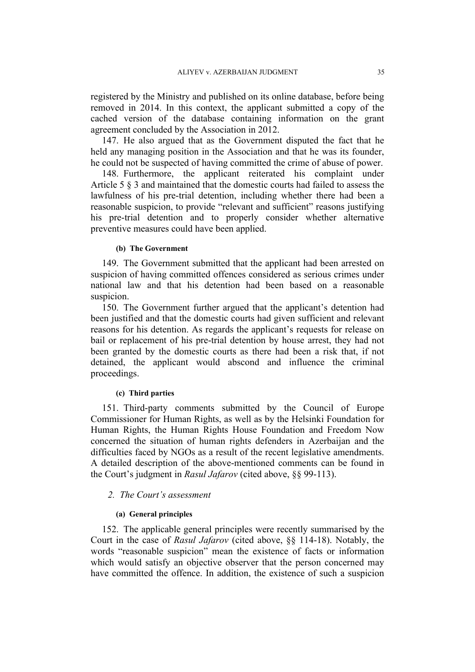registered by the Ministry and published on its online database, before being removed in 2014. In this context, the applicant submitted a copy of the cached version of the database containing information on the grant agreement concluded by the Association in 2012.

147. He also argued that as the Government disputed the fact that he held any managing position in the Association and that he was its founder, he could not be suspected of having committed the crime of abuse of power.

148. Furthermore, the applicant reiterated his complaint under Article 5 § 3 and maintained that the domestic courts had failed to assess the lawfulness of his pre-trial detention, including whether there had been a reasonable suspicion, to provide "relevant and sufficient" reasons justifying his pre-trial detention and to properly consider whether alternative preventive measures could have been applied.

#### **(b) The Government**

149. The Government submitted that the applicant had been arrested on suspicion of having committed offences considered as serious crimes under national law and that his detention had been based on a reasonable suspicion.

150. The Government further argued that the applicant's detention had been justified and that the domestic courts had given sufficient and relevant reasons for his detention. As regards the applicant's requests for release on bail or replacement of his pre-trial detention by house arrest, they had not been granted by the domestic courts as there had been a risk that, if not detained, the applicant would abscond and influence the criminal proceedings.

### **(c) Third parties**

151. Third-party comments submitted by the Council of Europe Commissioner for Human Rights, as well as by the Helsinki Foundation for Human Rights, the Human Rights House Foundation and Freedom Now concerned the situation of human rights defenders in Azerbaijan and the difficulties faced by NGOs as a result of the recent legislative amendments. A detailed description of the above-mentioned comments can be found in the Court's judgment in *Rasul Jafarov* (cited above, §§ 99-113).

### *2. The Court's assessment*

#### **(a) General principles**

152. The applicable general principles were recently summarised by the Court in the case of *Rasul Jafarov* (cited above, §§ 114-18). Notably, the words "reasonable suspicion" mean the existence of facts or information which would satisfy an objective observer that the person concerned may have committed the offence. In addition, the existence of such a suspicion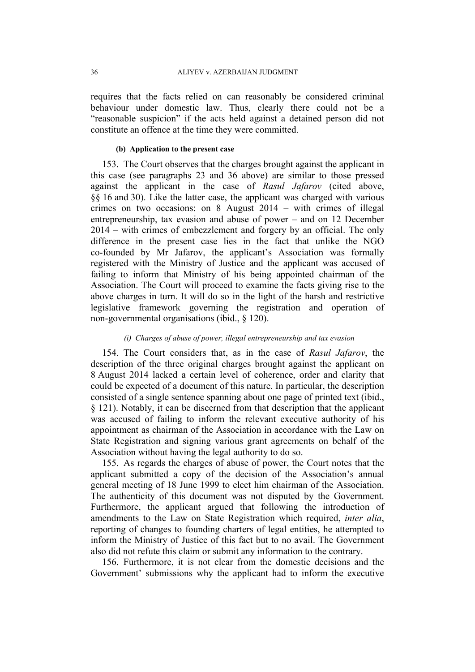requires that the facts relied on can reasonably be considered criminal behaviour under domestic law. Thus, clearly there could not be a "reasonable suspicion" if the acts held against a detained person did not constitute an offence at the time they were committed.

#### **(b) Application to the present case**

153. The Court observes that the charges brought against the applicant in this case (see paragraphs 23 and 36 above) are similar to those pressed against the applicant in the case of *Rasul Jafarov* (cited above, §§ 16 and 30). Like the latter case, the applicant was charged with various crimes on two occasions: on 8 August 2014 – with crimes of illegal entrepreneurship, tax evasion and abuse of power – and on 12 December 2014 – with crimes of embezzlement and forgery by an official. The only difference in the present case lies in the fact that unlike the NGO co-founded by Mr Jafarov, the applicant's Association was formally registered with the Ministry of Justice and the applicant was accused of failing to inform that Ministry of his being appointed chairman of the Association. The Court will proceed to examine the facts giving rise to the above charges in turn. It will do so in the light of the harsh and restrictive legislative framework governing the registration and operation of non-governmental organisations (ibid., § 120).

### *(i) Charges of abuse of power, illegal entrepreneurship and tax evasion*

154. The Court considers that, as in the case of *Rasul Jafarov*, the description of the three original charges brought against the applicant on 8 August 2014 lacked a certain level of coherence, order and clarity that could be expected of a document of this nature. In particular, the description consisted of a single sentence spanning about one page of printed text (ibid., § 121). Notably, it can be discerned from that description that the applicant was accused of failing to inform the relevant executive authority of his appointment as chairman of the Association in accordance with the Law on State Registration and signing various grant agreements on behalf of the Association without having the legal authority to do so.

155. As regards the charges of abuse of power, the Court notes that the applicant submitted a copy of the decision of the Association's annual general meeting of 18 June 1999 to elect him chairman of the Association. The authenticity of this document was not disputed by the Government. Furthermore, the applicant argued that following the introduction of amendments to the Law on State Registration which required, *inter alia*, reporting of changes to founding charters of legal entities, he attempted to inform the Ministry of Justice of this fact but to no avail. The Government also did not refute this claim or submit any information to the contrary.

156. Furthermore, it is not clear from the domestic decisions and the Government' submissions why the applicant had to inform the executive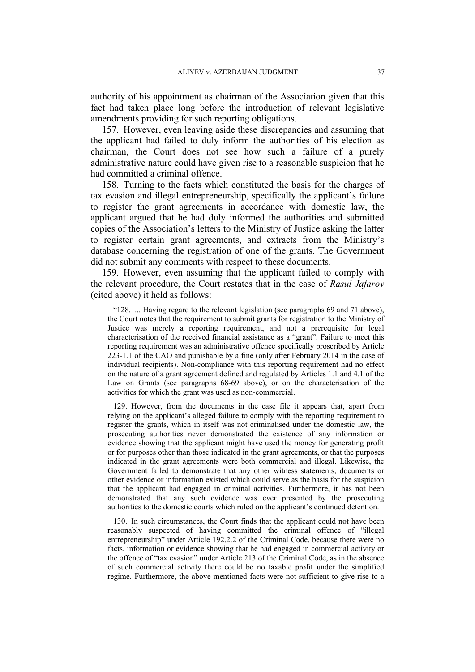authority of his appointment as chairman of the Association given that this fact had taken place long before the introduction of relevant legislative amendments providing for such reporting obligations.

157. However, even leaving aside these discrepancies and assuming that the applicant had failed to duly inform the authorities of his election as chairman, the Court does not see how such a failure of a purely administrative nature could have given rise to a reasonable suspicion that he had committed a criminal offence.

158. Turning to the facts which constituted the basis for the charges of tax evasion and illegal entrepreneurship, specifically the applicant's failure to register the grant agreements in accordance with domestic law, the applicant argued that he had duly informed the authorities and submitted copies of the Association's letters to the Ministry of Justice asking the latter to register certain grant agreements, and extracts from the Ministry's database concerning the registration of one of the grants. The Government did not submit any comments with respect to these documents.

159. However, even assuming that the applicant failed to comply with the relevant procedure, the Court restates that in the case of *Rasul Jafarov* (cited above) it held as follows:

"128. ... Having regard to the relevant legislation (see paragraphs 69 and 71 above), the Court notes that the requirement to submit grants for registration to the Ministry of Justice was merely a reporting requirement, and not a prerequisite for legal characterisation of the received financial assistance as a "grant". Failure to meet this reporting requirement was an administrative offence specifically proscribed by Article 223-1.1 of the CAO and punishable by a fine (only after February 2014 in the case of individual recipients). Non-compliance with this reporting requirement had no effect on the nature of a grant agreement defined and regulated by Articles 1.1 and 4.1 of the Law on Grants (see paragraphs 68-69 above), or on the characterisation of the activities for which the grant was used as non-commercial.

129. However, from the documents in the case file it appears that, apart from relying on the applicant's alleged failure to comply with the reporting requirement to register the grants, which in itself was not criminalised under the domestic law, the prosecuting authorities never demonstrated the existence of any information or evidence showing that the applicant might have used the money for generating profit or for purposes other than those indicated in the grant agreements, or that the purposes indicated in the grant agreements were both commercial and illegal. Likewise, the Government failed to demonstrate that any other witness statements, documents or other evidence or information existed which could serve as the basis for the suspicion that the applicant had engaged in criminal activities. Furthermore, it has not been demonstrated that any such evidence was ever presented by the prosecuting authorities to the domestic courts which ruled on the applicant's continued detention.

130. In such circumstances, the Court finds that the applicant could not have been reasonably suspected of having committed the criminal offence of "illegal entrepreneurship" under Article 192.2.2 of the Criminal Code, because there were no facts, information or evidence showing that he had engaged in commercial activity or the offence of "tax evasion" under Article 213 of the Criminal Code, as in the absence of such commercial activity there could be no taxable profit under the simplified regime. Furthermore, the above-mentioned facts were not sufficient to give rise to a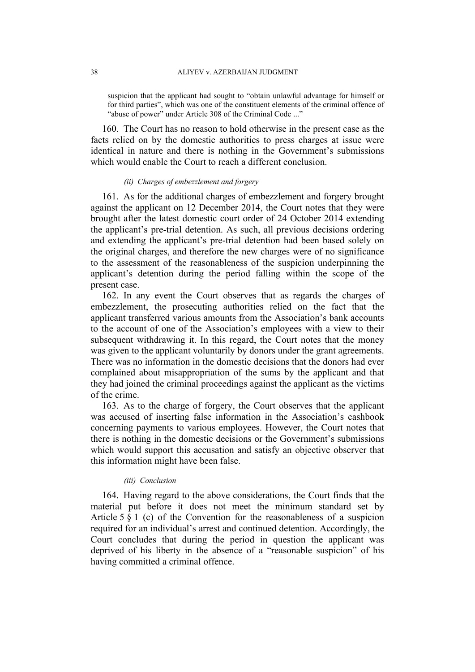suspicion that the applicant had sought to "obtain unlawful advantage for himself or for third parties", which was one of the constituent elements of the criminal offence of "abuse of power" under Article 308 of the Criminal Code ..."

160. The Court has no reason to hold otherwise in the present case as the facts relied on by the domestic authorities to press charges at issue were identical in nature and there is nothing in the Government's submissions which would enable the Court to reach a different conclusion.

#### *(ii) Charges of embezzlement and forgery*

161. As for the additional charges of embezzlement and forgery brought against the applicant on 12 December 2014, the Court notes that they were brought after the latest domestic court order of 24 October 2014 extending the applicant's pre-trial detention. As such, all previous decisions ordering and extending the applicant's pre-trial detention had been based solely on the original charges, and therefore the new charges were of no significance to the assessment of the reasonableness of the suspicion underpinning the applicant's detention during the period falling within the scope of the present case.

162. In any event the Court observes that as regards the charges of embezzlement, the prosecuting authorities relied on the fact that the applicant transferred various amounts from the Association's bank accounts to the account of one of the Association's employees with a view to their subsequent withdrawing it. In this regard, the Court notes that the money was given to the applicant voluntarily by donors under the grant agreements. There was no information in the domestic decisions that the donors had ever complained about misappropriation of the sums by the applicant and that they had joined the criminal proceedings against the applicant as the victims of the crime.

163. As to the charge of forgery, the Court observes that the applicant was accused of inserting false information in the Association's cashbook concerning payments to various employees. However, the Court notes that there is nothing in the domestic decisions or the Government's submissions which would support this accusation and satisfy an objective observer that this information might have been false.

#### *(iii) Conclusion*

164. Having regard to the above considerations, the Court finds that the material put before it does not meet the minimum standard set by Article 5 § 1 (c) of the Convention for the reasonableness of a suspicion required for an individual's arrest and continued detention. Accordingly, the Court concludes that during the period in question the applicant was deprived of his liberty in the absence of a "reasonable suspicion" of his having committed a criminal offence.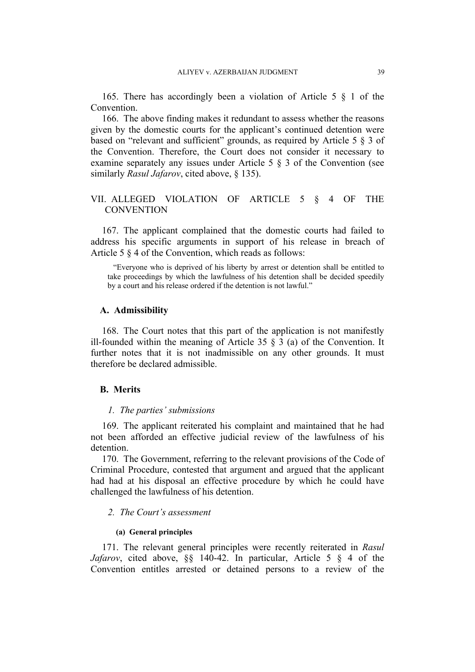165. There has accordingly been a violation of Article 5 § 1 of the Convention.

166. The above finding makes it redundant to assess whether the reasons given by the domestic courts for the applicant's continued detention were based on "relevant and sufficient" grounds, as required by Article 5 § 3 of the Convention. Therefore, the Court does not consider it necessary to examine separately any issues under Article 5 § 3 of the Convention (see similarly *Rasul Jafarov*, cited above, § 135).

## VII. ALLEGED VIOLATION OF ARTICLE 5 § 4 OF THE **CONVENTION**

167. The applicant complained that the domestic courts had failed to address his specific arguments in support of his release in breach of Article 5 § 4 of the Convention, which reads as follows:

"Everyone who is deprived of his liberty by arrest or detention shall be entitled to take proceedings by which the lawfulness of his detention shall be decided speedily by a court and his release ordered if the detention is not lawful."

#### **A. Admissibility**

168. The Court notes that this part of the application is not manifestly ill-founded within the meaning of Article 35  $\S$  3 (a) of the Convention. It further notes that it is not inadmissible on any other grounds. It must therefore be declared admissible.

## **B. Merits**

#### *1. The parties' submissions*

169. The applicant reiterated his complaint and maintained that he had not been afforded an effective judicial review of the lawfulness of his detention.

170. The Government, referring to the relevant provisions of the Code of Criminal Procedure, contested that argument and argued that the applicant had had at his disposal an effective procedure by which he could have challenged the lawfulness of his detention.

#### *2. The Court's assessment*

#### **(a) General principles**

171. The relevant general principles were recently reiterated in *Rasul Jafarov*, cited above, §§ 140-42. In particular, Article 5 § 4 of the Convention entitles arrested or detained persons to a review of the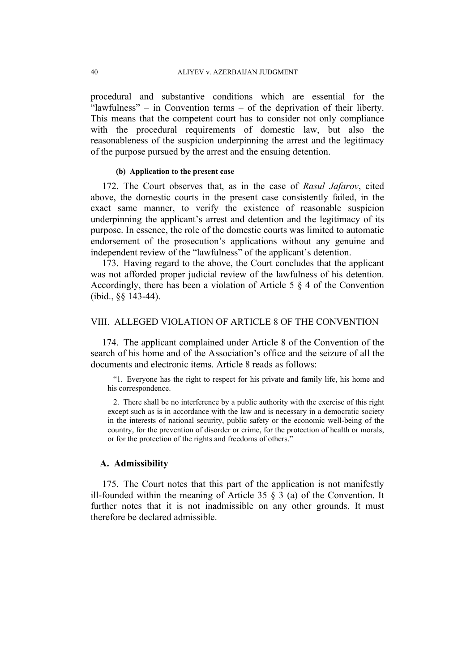procedural and substantive conditions which are essential for the "lawfulness" – in Convention terms – of the deprivation of their liberty. This means that the competent court has to consider not only compliance with the procedural requirements of domestic law, but also the reasonableness of the suspicion underpinning the arrest and the legitimacy of the purpose pursued by the arrest and the ensuing detention.

#### **(b) Application to the present case**

172. The Court observes that, as in the case of *Rasul Jafarov*, cited above, the domestic courts in the present case consistently failed, in the exact same manner, to verify the existence of reasonable suspicion underpinning the applicant's arrest and detention and the legitimacy of its purpose. In essence, the role of the domestic courts was limited to automatic endorsement of the prosecution's applications without any genuine and independent review of the "lawfulness" of the applicant's detention.

173. Having regard to the above, the Court concludes that the applicant was not afforded proper judicial review of the lawfulness of his detention. Accordingly, there has been a violation of Article 5 § 4 of the Convention (ibid., §§ 143-44).

## VIII. ALLEGED VIOLATION OF ARTICLE 8 OF THE CONVENTION

174. The applicant complained under Article 8 of the Convention of the search of his home and of the Association's office and the seizure of all the documents and electronic items. Article 8 reads as follows:

"1. Everyone has the right to respect for his private and family life, his home and his correspondence.

2. There shall be no interference by a public authority with the exercise of this right except such as is in accordance with the law and is necessary in a democratic society in the interests of national security, public safety or the economic well-being of the country, for the prevention of disorder or crime, for the protection of health or morals, or for the protection of the rights and freedoms of others."

### **A. Admissibility**

175. The Court notes that this part of the application is not manifestly ill-founded within the meaning of Article 35  $\S$  3 (a) of the Convention. It further notes that it is not inadmissible on any other grounds. It must therefore be declared admissible.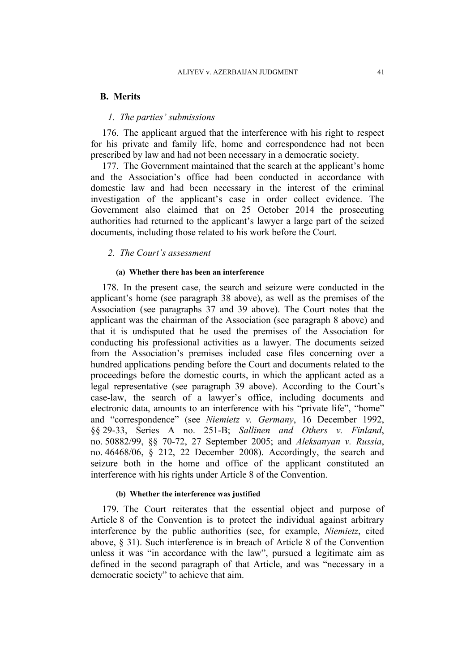### **B. Merits**

### *1. The parties' submissions*

176. The applicant argued that the interference with his right to respect for his private and family life, home and correspondence had not been prescribed by law and had not been necessary in a democratic society.

177. The Government maintained that the search at the applicant's home and the Association's office had been conducted in accordance with domestic law and had been necessary in the interest of the criminal investigation of the applicant's case in order collect evidence. The Government also claimed that on 25 October 2014 the prosecuting authorities had returned to the applicant's lawyer a large part of the seized documents, including those related to his work before the Court.

### *2. The Court's assessment*

#### **(a) Whether there has been an interference**

178. In the present case, the search and seizure were conducted in the applicant's home (see paragraph 38 above), as well as the premises of the Association (see paragraphs 37 and 39 above). The Court notes that the applicant was the chairman of the Association (see paragraph 8 above) and that it is undisputed that he used the premises of the Association for conducting his professional activities as a lawyer. The documents seized from the Association's premises included case files concerning over a hundred applications pending before the Court and documents related to the proceedings before the domestic courts, in which the applicant acted as a legal representative (see paragraph 39 above). According to the Court's case-law, the search of a lawyer's office, including documents and electronic data, amounts to an interference with his "private life", "home" and "correspondence" (see *Niemietz v. Germany*, 16 December 1992, §§ 29-33, Series A no. 251-B; *Sallinen and Others v. Finland*, no. 50882/99, §§ 70-72, 27 September 2005; and *Aleksanyan v. Russia*, no. 46468/06, § 212, 22 December 2008). Accordingly, the search and seizure both in the home and office of the applicant constituted an interference with his rights under Article 8 of the Convention.

### **(b) Whether the interference was justified**

179. The Court reiterates that the essential object and purpose of Article 8 of the Convention is to protect the individual against arbitrary interference by the public authorities (see, for example, *Niemietz*, cited above, § 31). Such interference is in breach of Article 8 of the Convention unless it was "in accordance with the law", pursued a legitimate aim as defined in the second paragraph of that Article, and was "necessary in a democratic society" to achieve that aim.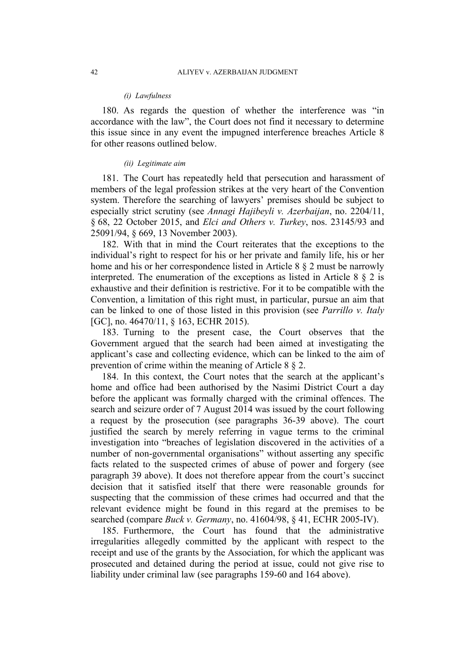#### *(i) Lawfulness*

180. As regards the question of whether the interference was "in accordance with the law", the Court does not find it necessary to determine this issue since in any event the impugned interference breaches Article 8 for other reasons outlined below.

#### *(ii) Legitimate aim*

181. The Court has repeatedly held that persecution and harassment of members of the legal profession strikes at the very heart of the Convention system. Therefore the searching of lawyers' premises should be subject to especially strict scrutiny (see *Annagi Hajibeyli v. Azerbaijan*, no. 2204/11, § 68, 22 October 2015, and *Elci and Others v. Turkey*, nos. 23145/93 and 25091/94, § 669, 13 November 2003).

182. With that in mind the Court reiterates that the exceptions to the individual's right to respect for his or her private and family life, his or her home and his or her correspondence listed in Article 8 § 2 must be narrowly interpreted. The enumeration of the exceptions as listed in Article 8 § 2 is exhaustive and their definition is restrictive. For it to be compatible with the Convention, a limitation of this right must, in particular, pursue an aim that can be linked to one of those listed in this provision (see *Parrillo v. Italy* [GC], no. 46470/11, § 163, ECHR 2015).

183. Turning to the present case, the Court observes that the Government argued that the search had been aimed at investigating the applicant's case and collecting evidence, which can be linked to the aim of prevention of crime within the meaning of Article 8 § 2.

184. In this context, the Court notes that the search at the applicant's home and office had been authorised by the Nasimi District Court a day before the applicant was formally charged with the criminal offences. The search and seizure order of 7 August 2014 was issued by the court following a request by the prosecution (see paragraphs 36-39 above). The court justified the search by merely referring in vague terms to the criminal investigation into "breaches of legislation discovered in the activities of a number of non-governmental organisations" without asserting any specific facts related to the suspected crimes of abuse of power and forgery (see paragraph 39 above). It does not therefore appear from the court's succinct decision that it satisfied itself that there were reasonable grounds for suspecting that the commission of these crimes had occurred and that the relevant evidence might be found in this regard at the premises to be searched (compare *Buck v. Germany*, no. 41604/98, § 41, ECHR 2005-IV).

185. Furthermore, the Court has found that the administrative irregularities allegedly committed by the applicant with respect to the receipt and use of the grants by the Association, for which the applicant was prosecuted and detained during the period at issue, could not give rise to liability under criminal law (see paragraphs 159-60 and 164 above).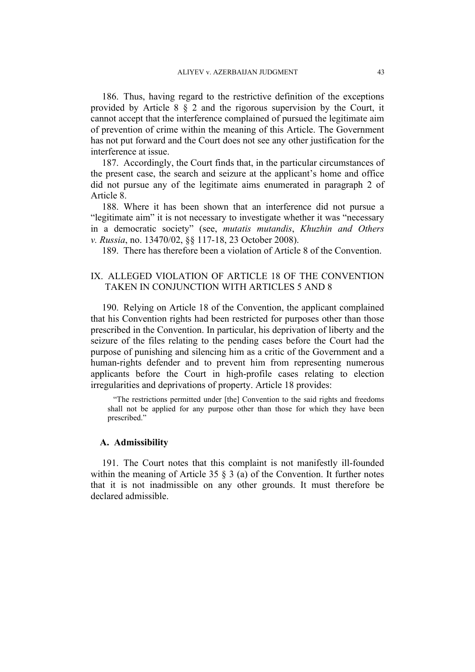186. Thus, having regard to the restrictive definition of the exceptions provided by Article 8 § 2 and the rigorous supervision by the Court, it cannot accept that the interference complained of pursued the legitimate aim of prevention of crime within the meaning of this Article. The Government has not put forward and the Court does not see any other justification for the interference at issue.

187. Accordingly, the Court finds that, in the particular circumstances of the present case, the search and seizure at the applicant's home and office did not pursue any of the legitimate aims enumerated in paragraph 2 of Article 8.

188. Where it has been shown that an interference did not pursue a "legitimate aim" it is not necessary to investigate whether it was "necessary in a democratic society" (see, *mutatis mutandis*, *Khuzhin and Others v. Russia*, no. 13470/02, §§ 117-18, 23 October 2008).

189. There has therefore been a violation of Article 8 of the Convention.

## IX. ALLEGED VIOLATION OF ARTICLE 18 OF THE CONVENTION TAKEN IN CONJUNCTION WITH ARTICLES 5 AND 8

190. Relying on Article 18 of the Convention, the applicant complained that his Convention rights had been restricted for purposes other than those prescribed in the Convention. In particular, his deprivation of liberty and the seizure of the files relating to the pending cases before the Court had the purpose of punishing and silencing him as a critic of the Government and a human-rights defender and to prevent him from representing numerous applicants before the Court in high-profile cases relating to election irregularities and deprivations of property. Article 18 provides:

"The restrictions permitted under [the] Convention to the said rights and freedoms shall not be applied for any purpose other than those for which they have been prescribed."

### **A. Admissibility**

191. The Court notes that this complaint is not manifestly ill-founded within the meaning of Article 35 § 3 (a) of the Convention. It further notes that it is not inadmissible on any other grounds. It must therefore be declared admissible.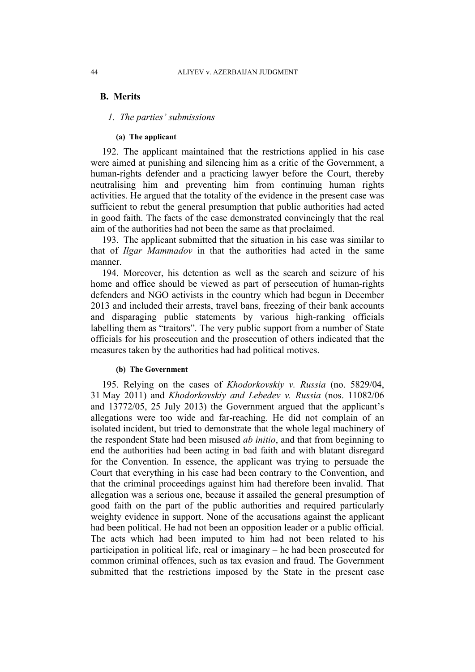## **B. Merits**

### *1. The parties' submissions*

#### **(a) The applicant**

192. The applicant maintained that the restrictions applied in his case were aimed at punishing and silencing him as a critic of the Government, a human-rights defender and a practicing lawyer before the Court, thereby neutralising him and preventing him from continuing human rights activities. He argued that the totality of the evidence in the present case was sufficient to rebut the general presumption that public authorities had acted in good faith. The facts of the case demonstrated convincingly that the real aim of the authorities had not been the same as that proclaimed.

193. The applicant submitted that the situation in his case was similar to that of *Ilgar Mammadov* in that the authorities had acted in the same manner.

194. Moreover, his detention as well as the search and seizure of his home and office should be viewed as part of persecution of human-rights defenders and NGO activists in the country which had begun in December 2013 and included their arrests, travel bans, freezing of their bank accounts and disparaging public statements by various high-ranking officials labelling them as "traitors". The very public support from a number of State officials for his prosecution and the prosecution of others indicated that the measures taken by the authorities had had political motives.

#### **(b) The Government**

195. Relying on the cases of *Khodorkovskiy v. Russia* (no. 5829/04, 31 May 2011) and *Khodorkovskiy and Lebedev v. Russia* (nos. 11082/06 and 13772/05, 25 July 2013) the Government argued that the applicant's allegations were too wide and far-reaching. He did not complain of an isolated incident, but tried to demonstrate that the whole legal machinery of the respondent State had been misused *ab initio*, and that from beginning to end the authorities had been acting in bad faith and with blatant disregard for the Convention. In essence, the applicant was trying to persuade the Court that everything in his case had been contrary to the Convention, and that the criminal proceedings against him had therefore been invalid. That allegation was a serious one, because it assailed the general presumption of good faith on the part of the public authorities and required particularly weighty evidence in support. None of the accusations against the applicant had been political. He had not been an opposition leader or a public official. The acts which had been imputed to him had not been related to his participation in political life, real or imaginary – he had been prosecuted for common criminal offences, such as tax evasion and fraud. The Government submitted that the restrictions imposed by the State in the present case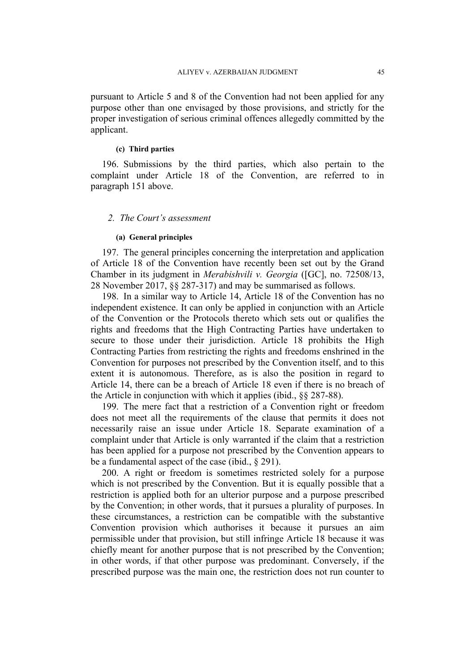pursuant to Article 5 and 8 of the Convention had not been applied for any purpose other than one envisaged by those provisions, and strictly for the proper investigation of serious criminal offences allegedly committed by the applicant.

### **(c) Third parties**

196. Submissions by the third parties, which also pertain to the complaint under Article 18 of the Convention, are referred to in paragraph 151 above.

### *2. The Court's assessment*

#### **(a) General principles**

197. The general principles concerning the interpretation and application of Article 18 of the Convention have recently been set out by the Grand Chamber in its judgment in *Merabishvili v. Georgia* ([GC], no. 72508/13, 28 November 2017, §§ 287-317) and may be summarised as follows.

198. In a similar way to Article 14, Article 18 of the Convention has no independent existence. It can only be applied in conjunction with an Article of the Convention or the Protocols thereto which sets out or qualifies the rights and freedoms that the High Contracting Parties have undertaken to secure to those under their jurisdiction. Article 18 prohibits the High Contracting Parties from restricting the rights and freedoms enshrined in the Convention for purposes not prescribed by the Convention itself, and to this extent it is autonomous. Therefore, as is also the position in regard to Article 14, there can be a breach of Article 18 even if there is no breach of the Article in conjunction with which it applies (ibid., §§ 287-88).

199. The mere fact that a restriction of a Convention right or freedom does not meet all the requirements of the clause that permits it does not necessarily raise an issue under Article 18. Separate examination of a complaint under that Article is only warranted if the claim that a restriction has been applied for a purpose not prescribed by the Convention appears to be a fundamental aspect of the case (ibid., § 291).

200. A right or freedom is sometimes restricted solely for a purpose which is not prescribed by the Convention. But it is equally possible that a restriction is applied both for an ulterior purpose and a purpose prescribed by the Convention; in other words, that it pursues a plurality of purposes. In these circumstances, a restriction can be compatible with the substantive Convention provision which authorises it because it pursues an aim permissible under that provision, but still infringe Article 18 because it was chiefly meant for another purpose that is not prescribed by the Convention; in other words, if that other purpose was predominant. Conversely, if the prescribed purpose was the main one, the restriction does not run counter to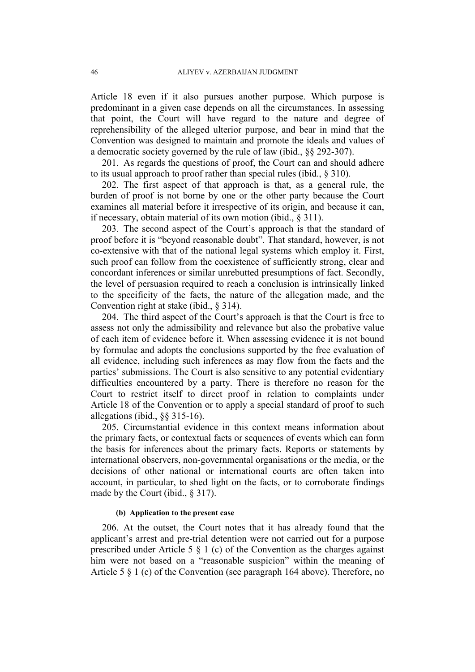Article 18 even if it also pursues another purpose. Which purpose is predominant in a given case depends on all the circumstances. In assessing that point, the Court will have regard to the nature and degree of reprehensibility of the alleged ulterior purpose, and bear in mind that the Convention was designed to maintain and promote the ideals and values of a democratic society governed by the rule of law (ibid., §§ 292-307).

201. As regards the questions of proof, the Court can and should adhere to its usual approach to proof rather than special rules (ibid., § 310).

202. The first aspect of that approach is that, as a general rule, the burden of proof is not borne by one or the other party because the Court examines all material before it irrespective of its origin, and because it can, if necessary, obtain material of its own motion (ibid., § 311).

203. The second aspect of the Court's approach is that the standard of proof before it is "beyond reasonable doubt". That standard, however, is not co-extensive with that of the national legal systems which employ it. First, such proof can follow from the coexistence of sufficiently strong, clear and concordant inferences or similar unrebutted presumptions of fact. Secondly, the level of persuasion required to reach a conclusion is intrinsically linked to the specificity of the facts, the nature of the allegation made, and the Convention right at stake (ibid., § 314).

204. The third aspect of the Court's approach is that the Court is free to assess not only the admissibility and relevance but also the probative value of each item of evidence before it. When assessing evidence it is not bound by formulae and adopts the conclusions supported by the free evaluation of all evidence, including such inferences as may flow from the facts and the parties' submissions. The Court is also sensitive to any potential evidentiary difficulties encountered by a party. There is therefore no reason for the Court to restrict itself to direct proof in relation to complaints under Article 18 of the Convention or to apply a special standard of proof to such allegations (ibid., §§ 315-16).

205. Circumstantial evidence in this context means information about the primary facts, or contextual facts or sequences of events which can form the basis for inferences about the primary facts. Reports or statements by international observers, non-governmental organisations or the media, or the decisions of other national or international courts are often taken into account, in particular, to shed light on the facts, or to corroborate findings made by the Court (ibid., § 317).

### **(b) Application to the present case**

206. At the outset, the Court notes that it has already found that the applicant's arrest and pre-trial detention were not carried out for a purpose prescribed under Article 5 § 1 (c) of the Convention as the charges against him were not based on a "reasonable suspicion" within the meaning of Article 5 § 1 (c) of the Convention (see paragraph 164 above). Therefore, no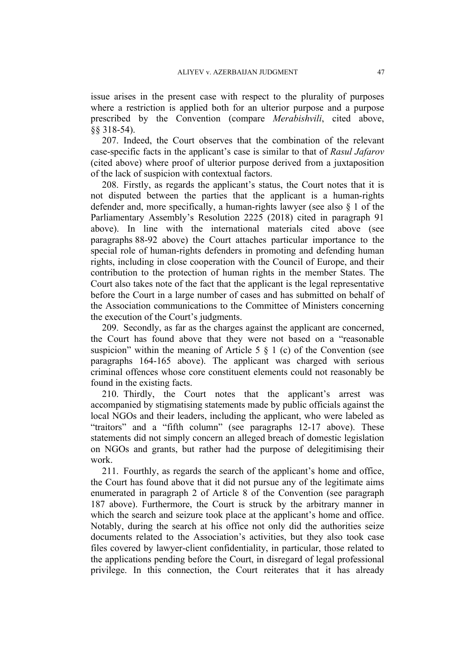issue arises in the present case with respect to the plurality of purposes where a restriction is applied both for an ulterior purpose and a purpose prescribed by the Convention (compare *Merabishvili*, cited above, §§ 318-54).

207. Indeed, the Court observes that the combination of the relevant case-specific facts in the applicant's case is similar to that of *Rasul Jafarov* (cited above) where proof of ulterior purpose derived from a juxtaposition of the lack of suspicion with contextual factors.

208. Firstly, as regards the applicant's status, the Court notes that it is not disputed between the parties that the applicant is a human-rights defender and, more specifically, a human-rights lawyer (see also § 1 of the Parliamentary Assembly's Resolution 2225 (2018) cited in paragraph 91 above). In line with the international materials cited above (see paragraphs 88-92 above) the Court attaches particular importance to the special role of human-rights defenders in promoting and defending human rights, including in close cooperation with the Council of Europe, and their contribution to the protection of human rights in the member States. The Court also takes note of the fact that the applicant is the legal representative before the Court in a large number of cases and has submitted on behalf of the Association communications to the Committee of Ministers concerning the execution of the Court's judgments.

209. Secondly, as far as the charges against the applicant are concerned, the Court has found above that they were not based on a "reasonable suspicion" within the meaning of Article 5  $\S$  1 (c) of the Convention (see paragraphs 164-165 above). The applicant was charged with serious criminal offences whose core constituent elements could not reasonably be found in the existing facts.

210. Thirdly, the Court notes that the applicant's arrest was accompanied by stigmatising statements made by public officials against the local NGOs and their leaders, including the applicant, who were labeled as "traitors" and a "fifth column" (see paragraphs 12-17 above). These statements did not simply concern an alleged breach of domestic legislation on NGOs and grants, but rather had the purpose of delegitimising their work.

211. Fourthly, as regards the search of the applicant's home and office, the Court has found above that it did not pursue any of the legitimate aims enumerated in paragraph 2 of Article 8 of the Convention (see paragraph 187 above). Furthermore, the Court is struck by the arbitrary manner in which the search and seizure took place at the applicant's home and office. Notably, during the search at his office not only did the authorities seize documents related to the Association's activities, but they also took case files covered by lawyer-client confidentiality, in particular, those related to the applications pending before the Court, in disregard of legal professional privilege. In this connection, the Court reiterates that it has already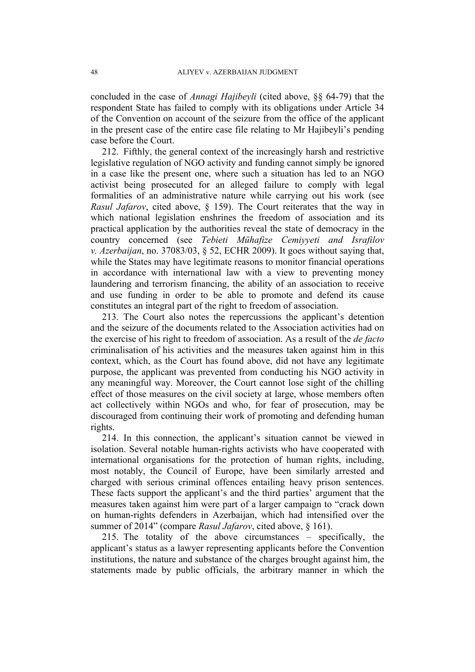concluded in the case of *Annagi Hajibeyli* (cited above, §§ 64-79) that the respondent State has failed to comply with its obligations under Article 34 of the Convention on account of the seizure from the office of the applicant in the present case of the entire case file relating to Mr Hajibeyli's pending case before the Court.

212. Fifthly, the general context of the increasingly harsh and restrictive legislative regulation of NGO activity and funding cannot simply be ignored in a case like the present one, where such a situation has led to an NGO activist being prosecuted for an alleged failure to comply with legal formalities of an administrative nature while carrying out his work (see *Rasul Jafarov*, cited above, § 159). The Court reiterates that the way in which national legislation enshrines the freedom of association and its practical application by the authorities reveal the state of democracy in the country concerned (see *Tebieti Mühafize Cemiyyeti and Israfilov v. Azerbaijan*, no. 37083/03, § 52, ECHR 2009). It goes without saying that, while the States may have legitimate reasons to monitor financial operations in accordance with international law with a view to preventing money laundering and terrorism financing, the ability of an association to receive and use funding in order to be able to promote and defend its cause constitutes an integral part of the right to freedom of association.

213. The Court also notes the repercussions the applicant's detention and the seizure of the documents related to the Association activities had on the exercise of his right to freedom of association. As a result of the *de facto* criminalisation of his activities and the measures taken against him in this context, which, as the Court has found above, did not have any legitimate purpose, the applicant was prevented from conducting his NGO activity in any meaningful way. Moreover, the Court cannot lose sight of the chilling effect of those measures on the civil society at large, whose members often act collectively within NGOs and who, for fear of prosecution, may be discouraged from continuing their work of promoting and defending human rights.

214. In this connection, the applicant's situation cannot be viewed in isolation. Several notable human-rights activists who have cooperated with international organisations for the protection of human rights, including, most notably, the Council of Europe, have been similarly arrested and charged with serious criminal offences entailing heavy prison sentences. These facts support the applicant's and the third parties' argument that the measures taken against him were part of a larger campaign to "crack down on human-rights defenders in Azerbaijan, which had intensified over the summer of 2014" (compare *Rasul Jafarov*, cited above, § 161).

215. The totality of the above circumstances – specifically, the applicant's status as a lawyer representing applicants before the Convention institutions, the nature and substance of the charges brought against him, the statements made by public officials, the arbitrary manner in which the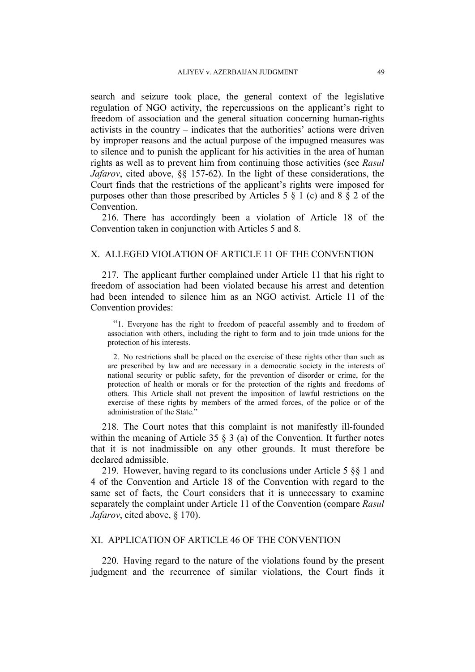search and seizure took place, the general context of the legislative regulation of NGO activity, the repercussions on the applicant's right to freedom of association and the general situation concerning human-rights activists in the country – indicates that the authorities' actions were driven by improper reasons and the actual purpose of the impugned measures was to silence and to punish the applicant for his activities in the area of human rights as well as to prevent him from continuing those activities (see *Rasul Jafarov*, cited above, §§ 157-62). In the light of these considerations, the Court finds that the restrictions of the applicant's rights were imposed for purposes other than those prescribed by Articles 5  $\S$  1 (c) and 8  $\S$  2 of the Convention.

216. There has accordingly been a violation of Article 18 of the Convention taken in conjunction with Articles 5 and 8.

## X. ALLEGED VIOLATION OF ARTICLE 11 OF THE CONVENTION

217. The applicant further complained under Article 11 that his right to freedom of association had been violated because his arrest and detention had been intended to silence him as an NGO activist. Article 11 of the Convention provides:

"1. Everyone has the right to freedom of peaceful assembly and to freedom of association with others, including the right to form and to join trade unions for the protection of his interests.

2. No restrictions shall be placed on the exercise of these rights other than such as are prescribed by law and are necessary in a democratic society in the interests of national security or public safety, for the prevention of disorder or crime, for the protection of health or morals or for the protection of the rights and freedoms of others. This Article shall not prevent the imposition of lawful restrictions on the exercise of these rights by members of the armed forces, of the police or of the administration of the State."

218. The Court notes that this complaint is not manifestly ill-founded within the meaning of Article 35 § 3 (a) of the Convention. It further notes that it is not inadmissible on any other grounds. It must therefore be declared admissible.

219. However, having regard to its conclusions under Article 5 §§ 1 and 4 of the Convention and Article 18 of the Convention with regard to the same set of facts, the Court considers that it is unnecessary to examine separately the complaint under Article 11 of the Convention (compare *Rasul Jafarov*, cited above, § 170).

## XI. APPLICATION OF ARTICLE 46 OF THE CONVENTION

220. Having regard to the nature of the violations found by the present judgment and the recurrence of similar violations, the Court finds it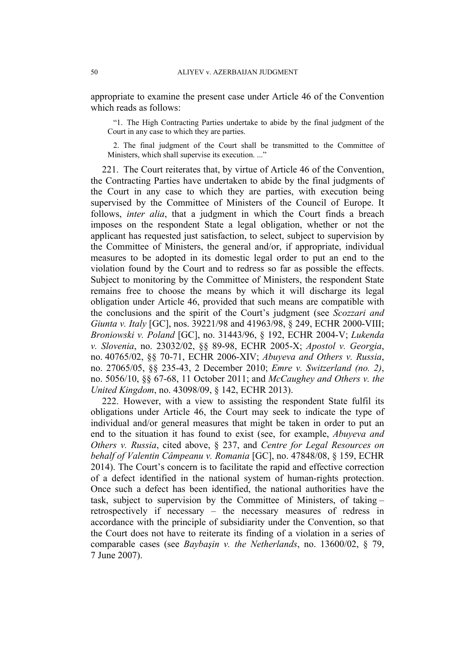appropriate to examine the present case under Article 46 of the Convention which reads as follows:

"1. The High Contracting Parties undertake to abide by the final judgment of the Court in any case to which they are parties.

2. The final judgment of the Court shall be transmitted to the Committee of Ministers, which shall supervise its execution. ..."

221. The Court reiterates that, by virtue of Article 46 of the Convention, the Contracting Parties have undertaken to abide by the final judgments of the Court in any case to which they are parties, with execution being supervised by the Committee of Ministers of the Council of Europe. It follows, *inter alia*, that a judgment in which the Court finds a breach imposes on the respondent State a legal obligation, whether or not the applicant has requested just satisfaction, to select, subject to supervision by the Committee of Ministers, the general and/or, if appropriate, individual measures to be adopted in its domestic legal order to put an end to the violation found by the Court and to redress so far as possible the effects. Subject to monitoring by the Committee of Ministers, the respondent State remains free to choose the means by which it will discharge its legal obligation under Article 46, provided that such means are compatible with the conclusions and the spirit of the Court's judgment (see *Scozzari and Giunta v. Italy* [GC], nos. 39221/98 and 41963/98, § 249, ECHR 2000-VIII; *Broniowski v. Poland* [GC], no. 31443/96, § 192, ECHR 2004-V; *Lukenda v. Slovenia*, no. 23032/02, §§ 89-98, ECHR 2005-X; *Apostol v. Georgia*, no. 40765/02, §§ 70-71, ECHR 2006-XIV; *Abuyeva and Others v. Russia*, no. 27065/05, §§ 235-43, 2 December 2010; *Emre v. Switzerland (no. 2)*, no. 5056/10, §§ 67-68, 11 October 2011; and *McCaughey and Others v. the United Kingdom*, no. 43098/09, § 142, ECHR 2013).

222. However, with a view to assisting the respondent State fulfil its obligations under Article 46, the Court may seek to indicate the type of individual and/or general measures that might be taken in order to put an end to the situation it has found to exist (see, for example, *Abuyeva and Others v. Russia*, cited above, § 237, and *Centre for Legal Resources on behalf of Valentin Câmpeanu v. Romania* [GC], no. 47848/08, § 159, ECHR 2014). The Court's concern is to facilitate the rapid and effective correction of a defect identified in the national system of human-rights protection. Once such a defect has been identified, the national authorities have the task, subject to supervision by the Committee of Ministers, of taking – retrospectively if necessary – the necessary measures of redress in accordance with the principle of subsidiarity under the Convention, so that the Court does not have to reiterate its finding of a violation in a series of comparable cases (see *Baybaşin v. the Netherlands*, no. 13600/02, § 79, 7 June 2007).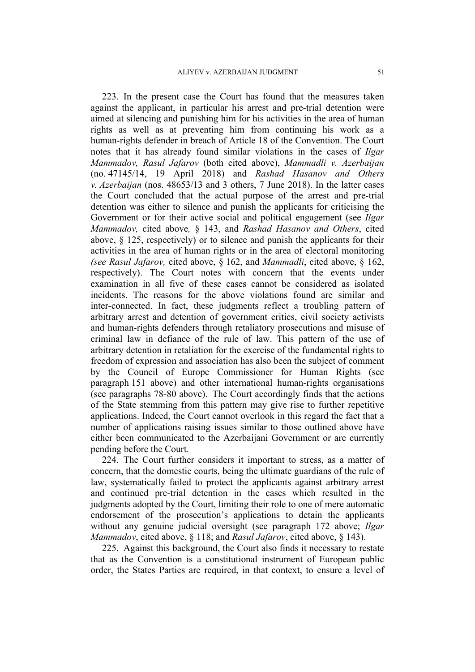223. In the present case the Court has found that the measures taken against the applicant, in particular his arrest and pre-trial detention were aimed at silencing and punishing him for his activities in the area of human rights as well as at preventing him from continuing his work as a human-rights defender in breach of Article 18 of the Convention. The Court notes that it has already found similar violations in the cases of *Ilgar Mammadov, Rasul Jafarov* (both cited above), *Mammadli v. Azerbaijan* (no. 47145/14, 19 April 2018) and *Rashad Hasanov and Others v. Azerbaijan* (nos. 48653/13 and 3 others, 7 June 2018). In the latter cases the Court concluded that the actual purpose of the arrest and pre-trial detention was either to silence and punish the applicants for criticising the Government or for their active social and political engagement (see *Ilgar Mammadov,* cited above*,* § 143, and *Rashad Hasanov and Others*, cited above, § 125, respectively) or to silence and punish the applicants for their activities in the area of human rights or in the area of electoral monitoring *(see Rasul Jafarov,* cited above, § 162, and *Mammadli*, cited above, § 162, respectively). The Court notes with concern that the events under examination in all five of these cases cannot be considered as isolated incidents. The reasons for the above violations found are similar and inter-connected. In fact, these judgments reflect a troubling pattern of arbitrary arrest and detention of government critics, civil society activists and human-rights defenders through retaliatory prosecutions and misuse of criminal law in defiance of the rule of law. This pattern of the use of arbitrary detention in retaliation for the exercise of the fundamental rights to freedom of expression and association has also been the subject of comment by the Council of Europe Commissioner for Human Rights (see paragraph 151 above) and other international human-rights organisations (see paragraphs 78-80 above). The Court accordingly finds that the actions of the State stemming from this pattern may give rise to further repetitive applications. Indeed, the Court cannot overlook in this regard the fact that a number of applications raising issues similar to those outlined above have either been communicated to the Azerbaijani Government or are currently pending before the Court.

224. The Court further considers it important to stress, as a matter of concern, that the domestic courts, being the ultimate guardians of the rule of law, systematically failed to protect the applicants against arbitrary arrest and continued pre-trial detention in the cases which resulted in the judgments adopted by the Court, limiting their role to one of mere automatic endorsement of the prosecution's applications to detain the applicants without any genuine judicial oversight (see paragraph 172 above; *Ilgar Mammadov*, cited above, § 118; and *Rasul Jafarov*, cited above, § 143).

225. Against this background, the Court also finds it necessary to restate that as the Convention is a constitutional instrument of European public order, the States Parties are required, in that context, to ensure a level of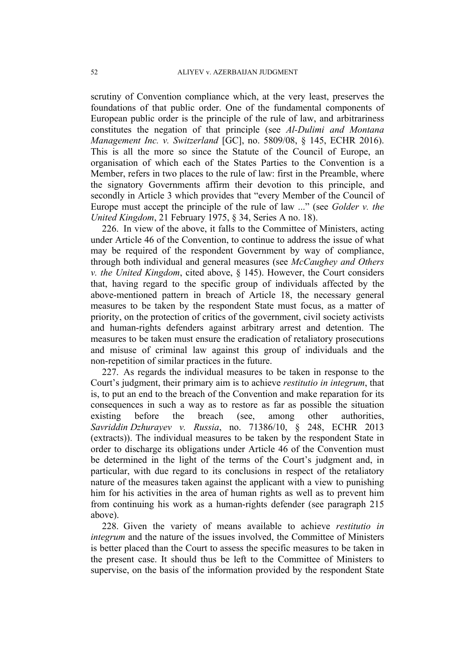scrutiny of Convention compliance which, at the very least, preserves the foundations of that public order. One of the fundamental components of European public order is the principle of the rule of law, and arbitrariness constitutes the negation of that principle (see *Al-Dulimi and Montana Management Inc. v. Switzerland* [GC], no. 5809/08, § 145, ECHR 2016). This is all the more so since the Statute of the Council of Europe, an organisation of which each of the States Parties to the Convention is a Member, refers in two places to the rule of law: first in the Preamble, where the signatory Governments affirm their devotion to this principle, and secondly in Article 3 which provides that "every Member of the Council of Europe must accept the principle of the rule of law ..." (see *Golder v. the United Kingdom*, 21 February 1975, § 34, Series A no. 18).

226. In view of the above, it falls to the Committee of Ministers, acting under Article 46 of the Convention, to continue to address the issue of what may be required of the respondent Government by way of compliance, through both individual and general measures (see *McCaughey and Others v. the United Kingdom*, cited above, § 145). However, the Court considers that, having regard to the specific group of individuals affected by the above-mentioned pattern in breach of Article 18, the necessary general measures to be taken by the respondent State must focus, as a matter of priority, on the protection of critics of the government, civil society activists and human-rights defenders against arbitrary arrest and detention. The measures to be taken must ensure the eradication of retaliatory prosecutions and misuse of criminal law against this group of individuals and the non-repetition of similar practices in the future.

227. As regards the individual measures to be taken in response to the Court's judgment, their primary aim is to achieve *restitutio in integrum*, that is, to put an end to the breach of the Convention and make reparation for its consequences in such a way as to restore as far as possible the situation existing before the breach (see, among other authorities, *Savriddin Dzhurayev v. Russia*, no. 71386/10, § 248, ECHR 2013 (extracts)). The individual measures to be taken by the respondent State in order to discharge its obligations under Article 46 of the Convention must be determined in the light of the terms of the Court's judgment and, in particular, with due regard to its conclusions in respect of the retaliatory nature of the measures taken against the applicant with a view to punishing him for his activities in the area of human rights as well as to prevent him from continuing his work as a human-rights defender (see paragraph 215 above).

228. Given the variety of means available to achieve *restitutio in integrum* and the nature of the issues involved, the Committee of Ministers is better placed than the Court to assess the specific measures to be taken in the present case. It should thus be left to the Committee of Ministers to supervise, on the basis of the information provided by the respondent State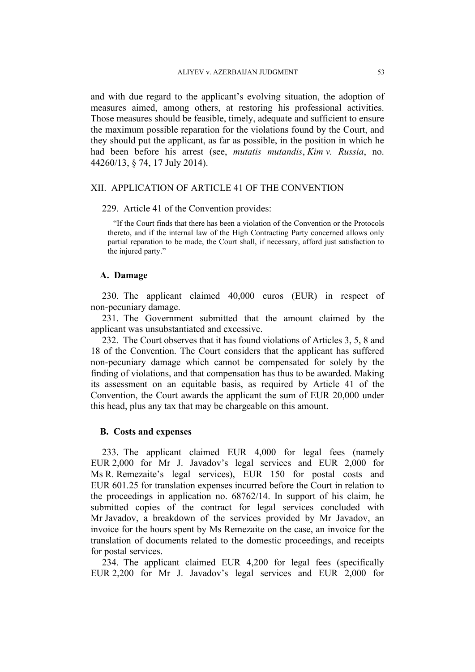and with due regard to the applicant's evolving situation, the adoption of measures aimed, among others, at restoring his professional activities. Those measures should be feasible, timely, adequate and sufficient to ensure the maximum possible reparation for the violations found by the Court, and they should put the applicant, as far as possible, in the position in which he had been before his arrest (see, *mutatis mutandis*, *Kim v. Russia*, no. 44260/13, § 74, 17 July 2014).

## XII. APPLICATION OF ARTICLE 41 OF THE CONVENTION

#### 229. Article 41 of the Convention provides:

"If the Court finds that there has been a violation of the Convention or the Protocols thereto, and if the internal law of the High Contracting Party concerned allows only partial reparation to be made, the Court shall, if necessary, afford just satisfaction to the injured party."

#### **A. Damage**

230. The applicant claimed 40,000 euros (EUR) in respect of non-pecuniary damage.

231. The Government submitted that the amount claimed by the applicant was unsubstantiated and excessive.

232. The Court observes that it has found violations of Articles 3, 5, 8 and 18 of the Convention. The Court considers that the applicant has suffered non-pecuniary damage which cannot be compensated for solely by the finding of violations, and that compensation has thus to be awarded. Making its assessment on an equitable basis, as required by Article 41 of the Convention, the Court awards the applicant the sum of EUR 20,000 under this head, plus any tax that may be chargeable on this amount.

### **B. Costs and expenses**

233. The applicant claimed EUR 4,000 for legal fees (namely EUR 2,000 for Mr J. Javadov's legal services and EUR 2,000 for Ms R. Remezaite's legal services), EUR 150 for postal costs and EUR 601.25 for translation expenses incurred before the Court in relation to the proceedings in application no. 68762/14. In support of his claim, he submitted copies of the contract for legal services concluded with Mr Javadov, a breakdown of the services provided by Mr Javadov, an invoice for the hours spent by Ms Remezaite on the case, an invoice for the translation of documents related to the domestic proceedings, and receipts for postal services.

234. The applicant claimed EUR 4,200 for legal fees (specifically EUR 2,200 for Mr J. Javadov's legal services and EUR 2,000 for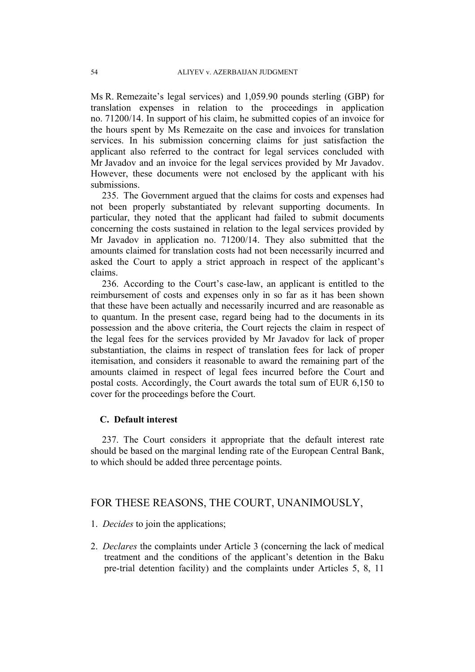Ms R. Remezaite's legal services) and 1,059.90 pounds sterling (GBP) for translation expenses in relation to the proceedings in application no. 71200/14. In support of his claim, he submitted copies of an invoice for the hours spent by Ms Remezaite on the case and invoices for translation services. In his submission concerning claims for just satisfaction the applicant also referred to the contract for legal services concluded with Mr Javadov and an invoice for the legal services provided by Mr Javadov. However, these documents were not enclosed by the applicant with his submissions.

235. The Government argued that the claims for costs and expenses had not been properly substantiated by relevant supporting documents. In particular, they noted that the applicant had failed to submit documents concerning the costs sustained in relation to the legal services provided by Mr Javadov in application no. 71200/14. They also submitted that the amounts claimed for translation costs had not been necessarily incurred and asked the Court to apply a strict approach in respect of the applicant's claims.

236. According to the Court's case-law, an applicant is entitled to the reimbursement of costs and expenses only in so far as it has been shown that these have been actually and necessarily incurred and are reasonable as to quantum. In the present case, regard being had to the documents in its possession and the above criteria, the Court rejects the claim in respect of the legal fees for the services provided by Mr Javadov for lack of proper substantiation, the claims in respect of translation fees for lack of proper itemisation, and considers it reasonable to award the remaining part of the amounts claimed in respect of legal fees incurred before the Court and postal costs. Accordingly, the Court awards the total sum of EUR 6,150 to cover for the proceedings before the Court.

## **C. Default interest**

237. The Court considers it appropriate that the default interest rate should be based on the marginal lending rate of the European Central Bank, to which should be added three percentage points.

# FOR THESE REASONS, THE COURT, UNANIMOUSLY,

- 1. *Decides* to join the applications;
- 2. *Declares* the complaints under Article 3 (concerning the lack of medical treatment and the conditions of the applicant's detention in the Baku pre-trial detention facility) and the complaints under Articles 5, 8, 11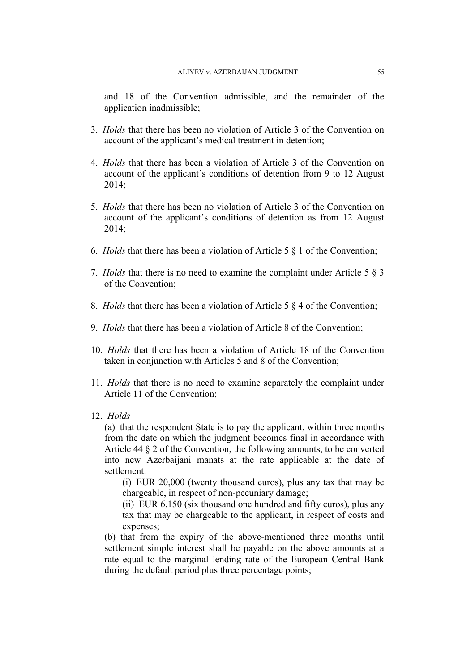and 18 of the Convention admissible, and the remainder of the application inadmissible;

- 3. *Holds* that there has been no violation of Article 3 of the Convention on account of the applicant's medical treatment in detention;
- 4. *Holds* that there has been a violation of Article 3 of the Convention on account of the applicant's conditions of detention from 9 to 12 August 2014;
- 5. *Holds* that there has been no violation of Article 3 of the Convention on account of the applicant's conditions of detention as from 12 August 2014;
- 6. *Holds* that there has been a violation of Article 5 § 1 of the Convention;
- 7. *Holds* that there is no need to examine the complaint under Article 5 § 3 of the Convention;
- 8. *Holds* that there has been a violation of Article 5 § 4 of the Convention;
- 9. *Holds* that there has been a violation of Article 8 of the Convention;
- 10. *Holds* that there has been a violation of Article 18 of the Convention taken in conjunction with Articles 5 and 8 of the Convention;
- 11. *Holds* that there is no need to examine separately the complaint under Article 11 of the Convention;
- 12. *Holds*

(a) that the respondent State is to pay the applicant, within three months from the date on which the judgment becomes final in accordance with Article 44 § 2 of the Convention, the following amounts, to be converted into new Azerbaijani manats at the rate applicable at the date of settlement:

(i) EUR 20,000 (twenty thousand euros), plus any tax that may be chargeable, in respect of non-pecuniary damage;

(ii) EUR 6,150 (six thousand one hundred and fifty euros), plus any tax that may be chargeable to the applicant, in respect of costs and expenses;

(b) that from the expiry of the above-mentioned three months until settlement simple interest shall be payable on the above amounts at a rate equal to the marginal lending rate of the European Central Bank during the default period plus three percentage points;